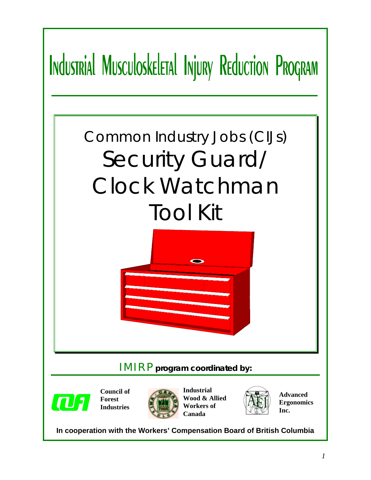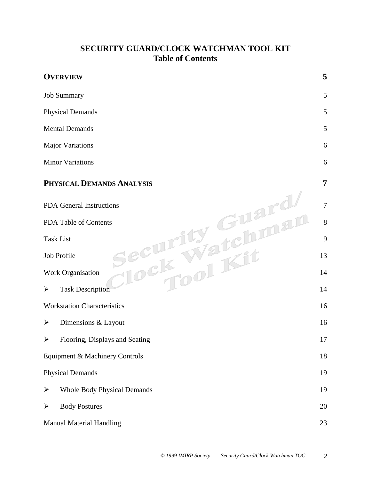#### **SECURITY GUARD/CLOCK WATCHMAN TOOL KIT Table of Contents**

| <b>OVERVIEW</b>                                             | 5  |  |  |  |
|-------------------------------------------------------------|----|--|--|--|
| <b>Job Summary</b>                                          | 5  |  |  |  |
| <b>Physical Demands</b>                                     | 5  |  |  |  |
| <b>Mental Demands</b>                                       | 5  |  |  |  |
| <b>Major Variations</b>                                     | 6  |  |  |  |
| <b>Minor Variations</b>                                     | 6  |  |  |  |
| PHYSICAL DEMANDS ANALYSIS                                   | 7  |  |  |  |
| <b>PDA</b> General Instructions                             | 7  |  |  |  |
| PDA Table of Contents                                       |    |  |  |  |
| <b>Task List</b>                                            | 9  |  |  |  |
| Job Profile                                                 | 13 |  |  |  |
| Work Organisation                                           | 14 |  |  |  |
| <b>Task Description</b><br>$\blacktriangleright$            | 14 |  |  |  |
| <b>Workstation Characteristics</b>                          | 16 |  |  |  |
| Dimensions & Layout<br>➤                                    | 16 |  |  |  |
| Flooring, Displays and Seating<br>➤                         | 17 |  |  |  |
| Equipment & Machinery Controls                              | 18 |  |  |  |
| <b>Physical Demands</b>                                     | 19 |  |  |  |
| $\blacktriangleright$<br><b>Whole Body Physical Demands</b> | 19 |  |  |  |
| <b>Body Postures</b><br>$\blacktriangleright$               | 20 |  |  |  |
| <b>Manual Material Handling</b>                             | 23 |  |  |  |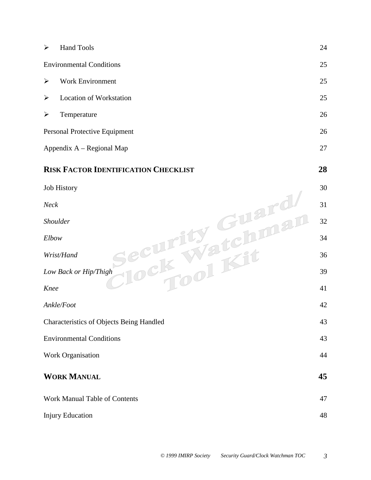| ➤                     | <b>Hand Tools</b>                               | 24 |
|-----------------------|-------------------------------------------------|----|
|                       | <b>Environmental Conditions</b>                 | 25 |
| $\blacktriangleright$ | Work Environment                                | 25 |
| $\blacktriangleright$ | <b>Location of Workstation</b>                  | 25 |
| $\blacktriangleright$ | Temperature                                     | 26 |
|                       | Personal Protective Equipment                   | 26 |
|                       | Appendix A - Regional Map                       | 27 |
|                       | <b>RISK FACTOR IDENTIFICATION CHECKLIST</b>     | 28 |
|                       | Job History                                     | 30 |
| Neck                  |                                                 | 31 |
|                       | <b>Shoulder</b>                                 | 32 |
| Elbow                 |                                                 | 34 |
|                       | Wrist/Hand                                      | 36 |
|                       | Low Back or Hip/Thigh                           | 39 |
| Knee                  |                                                 | 41 |
|                       | Ankle/Foot                                      | 42 |
|                       | <b>Characteristics of Objects Being Handled</b> | 43 |
|                       | <b>Environmental Conditions</b>                 | 43 |
|                       | Work Organisation                               | 44 |
|                       | <b>WORK MANUAL</b>                              | 45 |
|                       | Work Manual Table of Contents                   | 47 |
|                       | <b>Injury Education</b>                         | 48 |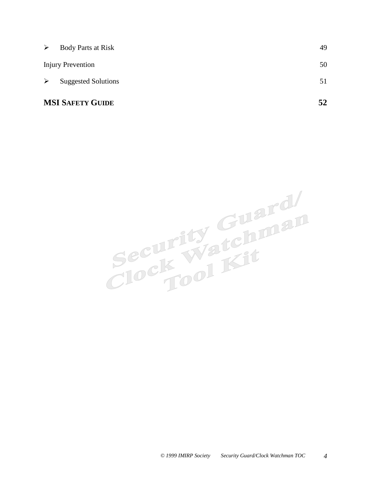|                       | <b>MSI SAFETY GUIDE</b>    | 52 |
|-----------------------|----------------------------|----|
| ➤                     | <b>Suggested Solutions</b> | 51 |
|                       | <b>Injury Prevention</b>   | 50 |
| $\blacktriangleright$ | Body Parts at Risk         | 49 |

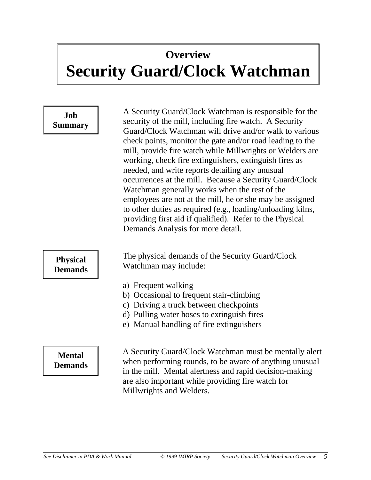## <span id="page-4-0"></span>**Overview Security Guard/Clock Watchman**

#### **Job Summary**

A Security Guard/Clock Watchman is responsible for the security of the mill, including fire watch. A Security Guard/Clock Watchman will drive and/or walk to various check points, monitor the gate and/or road leading to the mill, provide fire watch while Millwrights or Welders are working, check fire extinguishers, extinguish fires as needed, and write reports detailing any unusual occurrences at the mill. Because a Security Guard/Clock Watchman generally works when the rest of the employees are not at the mill, he or she may be assigned to other duties as required (e.g., loading/unloading kilns, providing first aid if qualified). Refer to the Physical Demands Analysis for more detail.

The physical demands of the Security Guard/Clock Watchman may include:

- a) Frequent walking
- b) Occasional to frequent stair-climbing
- c) Driving a truck between checkpoints
- d) Pulling water hoses to extinguish fires
- e) Manual handling of fire extinguishers

#### **Mental Demands**

**Physical Demands**

> A Security Guard/Clock Watchman must be mentally alert when performing rounds, to be aware of anything unusual in the mill. Mental alertness and rapid decision-making are also important while providing fire watch for Millwrights and Welders.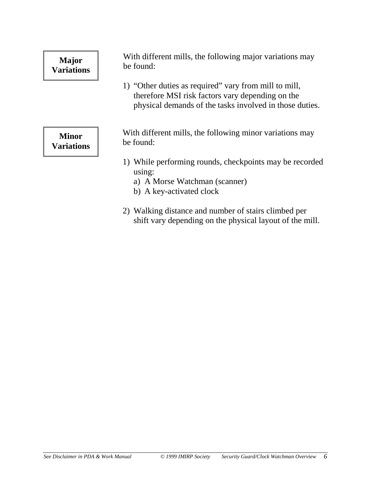### <span id="page-5-0"></span>**Major Variations**

With different mills, the following major variations may be found:

1) "Other duties as required" vary from mill to mill, therefore MSI risk factors vary depending on the physical demands of the tasks involved in those duties.

**Minor Variations** With different mills, the following minor variations may be found:

- 1) While performing rounds, checkpoints may be recorded using:
	- a) A Morse Watchman (scanner)
	- b) A key-activated clock
- 2) Walking distance and number of stairs climbed per shift vary depending on the physical layout of the mill.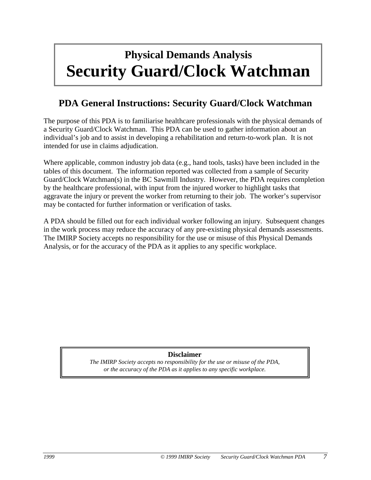## <span id="page-6-0"></span>**Physical Demands Analysis Security Guard/Clock Watchman**

#### **PDA General Instructions: Security Guard/Clock Watchman**

The purpose of this PDA is to familiarise healthcare professionals with the physical demands of a Security Guard/Clock Watchman. This PDA can be used to gather information about an individual's job and to assist in developing a rehabilitation and return-to-work plan. It is not intended for use in claims adjudication.

Where applicable, common industry job data (e.g., hand tools, tasks) have been included in the tables of this document. The information reported was collected from a sample of Security Guard/Clock Watchman(s) in the BC Sawmill Industry. However, the PDA requires completion by the healthcare professional, with input from the injured worker to highlight tasks that aggravate the injury or prevent the worker from returning to their job. The worker's supervisor may be contacted for further information or verification of tasks.

A PDA should be filled out for each individual worker following an injury. Subsequent changes in the work process may reduce the accuracy of any pre-existing physical demands assessments. The IMIRP Society accepts no responsibility for the use or misuse of this Physical Demands Analysis, or for the accuracy of the PDA as it applies to any specific workplace.

#### **Disclaimer**

*The IMIRP Society accepts no responsibility for the use or misuse of the PDA, or the accuracy of the PDA as it applies to any specific workplace.*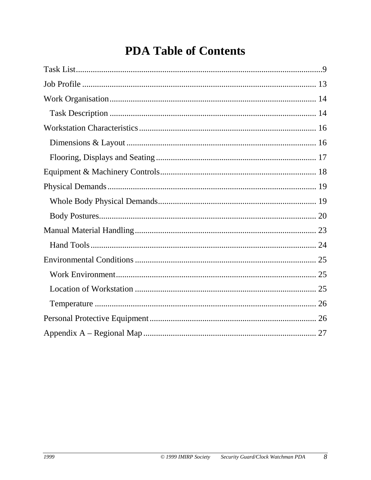## **PDA Table of Contents**

<span id="page-7-0"></span>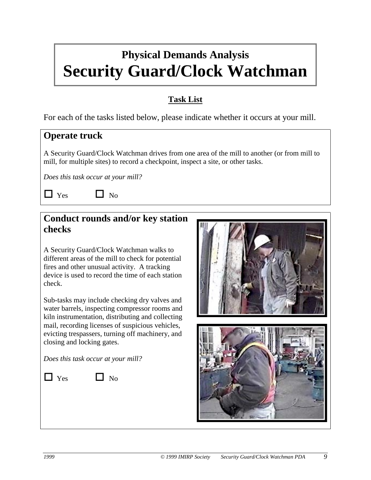## <span id="page-8-1"></span><span id="page-8-0"></span>**Physical Demands Analysis Security Guard/Clock Watchman**

#### **Task List**

For each of the tasks listed below, please indicate whether it occurs at your mill.

#### **Operate truck**

A Security Guard/Clock Watchman drives from one area of the mill to another (or from mill to mill, for multiple sites) to record a checkpoint, inspect a site, or other tasks.

*Does this task occur at your mill?*

 $\Box$  Yes  $\Box$  No

#### **Conduct rounds and/or key station checks**

A Security Guard/Clock Watchman walks to different areas of the mill to check for potential fires and other unusual activity. A tracking device is used to record the time of each station check.

Sub-tasks may include checking dry valves and water barrels, inspecting compressor rooms and kiln instrumentation, distributing and collecting mail, recording licenses of suspicious vehicles, evicting trespassers, turning off machinery, and closing and locking gates.

*Does this task occur at your mill?*

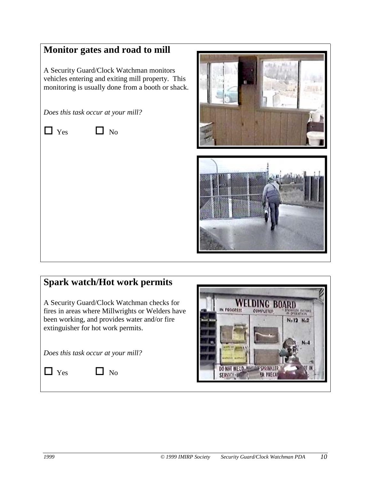#### **Monitor gates and road to mill**

A Security Guard/Clock Watchman monitors vehicles entering and exiting mill property. This monitoring is usually done from a booth or shack.

*Does this task occur at your mill?*

 $\Box$  Yes  $\Box$  No

## **Spark watch/Hot work permits**

A Security Guard/Clock Watchman checks for fires in areas where Millwrights or Welders have been working, and provides water and/or fire extinguisher for hot work permits.

*Does this task occur at your mill?*

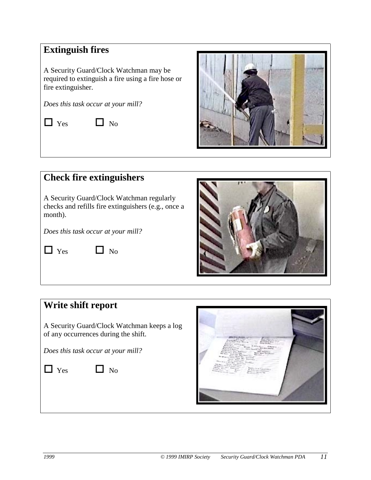#### **Extinguish fires**

A Security Guard/Clock Watchman may be required to extinguish a fire using a fire hose or fire extinguisher.

*Does this task occur at your mill?*

 $\Box$  Yes  $\Box$  No



#### **Check fire extinguishers**

A Security Guard/Clock Watchman regularly checks and refills fire extinguishers (e.g., once a month).

*Does this task occur at your mill?*

 $\Box$  Yes  $\Box$  No



#### **Write shift report**

A Security Guard/Clock Watchman keeps a log of any occurrences during the shift.

*Does this task occur at your mill?*

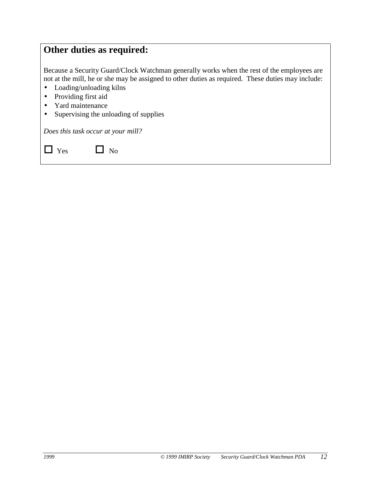#### **Other duties as required:**

Because a Security Guard/Clock Watchman generally works when the rest of the employees are not at the mill, he or she may be assigned to other duties as required. These duties may include:

- Loading/unloading kilns
- Providing first aid
- Yard maintenance
- Supervising the unloading of supplies

*Does this task occur at your mill?*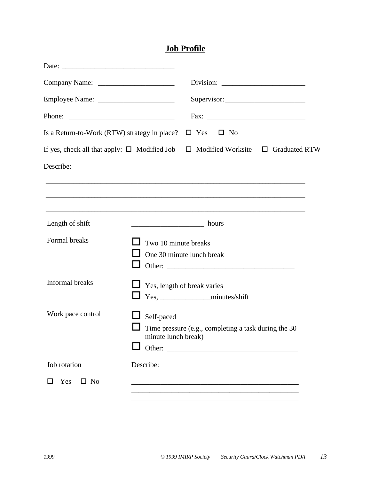#### **Job Profile**

<span id="page-12-1"></span><span id="page-12-0"></span>

|                                              | Supervisor:                                                                                     |
|----------------------------------------------|-------------------------------------------------------------------------------------------------|
|                                              |                                                                                                 |
| Is a Return-to-Work (RTW) strategy in place? | $\Box$ Yes $\Box$ No                                                                            |
|                                              | If yes, check all that apply: $\Box$ Modified Job $\Box$ Modified Worksite $\Box$ Graduated RTW |
| Describe:                                    |                                                                                                 |
|                                              |                                                                                                 |
|                                              |                                                                                                 |
| Length of shift                              | <u>__________________________</u> hours                                                         |
| Formal breaks                                | Two 10 minute breaks                                                                            |
|                                              | One 30 minute lunch break                                                                       |
| Informal breaks                              |                                                                                                 |
|                                              | Yes, length of break varies                                                                     |
| Work pace control                            |                                                                                                 |
|                                              | Self-paced<br>Time pressure (e.g., completing a task during the 30                              |
|                                              | minute lunch break)                                                                             |
| Job rotation                                 | Describe:                                                                                       |
| $\Box$ No                                    |                                                                                                 |
| Yes                                          |                                                                                                 |
|                                              |                                                                                                 |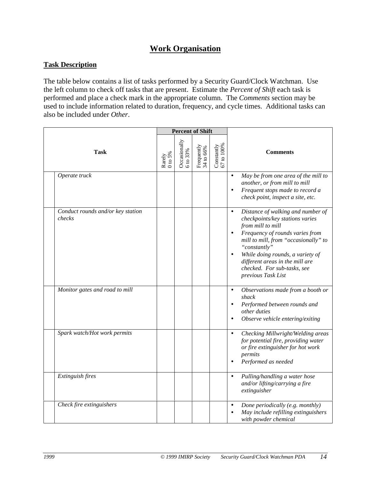#### **Work Organisation**

#### <span id="page-13-1"></span><span id="page-13-0"></span>**Task Description**

The table below contains a list of tasks performed by a Security Guard/Clock Watchman. Use the left column to check off tasks that are present. Estimate the *Percent of Shift* each task is performed and place a check mark in the appropriate column. The *Comments* section may be used to include information related to duration, frequency, and cycle times. Additional tasks can also be included under *Other*.

|                                             |                     | <b>Percent of Shift</b>       |                              |                            |                                                                                                                                                                                                                                                                                                                                                         |  |  |
|---------------------------------------------|---------------------|-------------------------------|------------------------------|----------------------------|---------------------------------------------------------------------------------------------------------------------------------------------------------------------------------------------------------------------------------------------------------------------------------------------------------------------------------------------------------|--|--|
| <b>Task</b>                                 | Rarely<br>$0$ to 5% | Occasionally<br>$6$ to $33\%$ | Frequently<br>$34$ to $66\%$ | Constantly $67$ to $100\%$ | <b>Comments</b>                                                                                                                                                                                                                                                                                                                                         |  |  |
| Operate truck                               |                     |                               |                              |                            | May be from one area of the mill to<br>$\bullet$<br>another, or from mill to mill<br>Frequent stops made to record a<br>$\bullet$<br>check point, inspect a site, etc.                                                                                                                                                                                  |  |  |
| Conduct rounds and/or key station<br>checks |                     |                               |                              |                            | Distance of walking and number of<br>$\bullet$<br>checkpoints/key stations varies<br>from mill to mill<br>Frequency of rounds varies from<br>$\bullet$<br>mill to mill, from "occasionally" to<br>"constantly"<br>While doing rounds, a variety of<br>$\bullet$<br>different areas in the mill are<br>checked. For sub-tasks, see<br>previous Task List |  |  |
| Monitor gates and road to mill              |                     |                               |                              |                            | Observations made from a booth or<br>$\bullet$<br>shack<br>Performed between rounds and<br>$\bullet$<br>other duties<br>Observe vehicle entering/exiting<br>$\bullet$                                                                                                                                                                                   |  |  |
| Spark watch/Hot work permits                |                     |                               |                              |                            | Checking Millwright/Welding areas<br>$\bullet$<br>for potential fire, providing water<br>or fire extinguisher for hot work<br>permits<br>Performed as needed<br>$\bullet$                                                                                                                                                                               |  |  |
| Extinguish fires                            |                     |                               |                              |                            | Pulling/handling a water hose<br>$\bullet$<br>and/or lifting/carrying a fire<br>extinguisher                                                                                                                                                                                                                                                            |  |  |
| Check fire extinguishers                    |                     |                               |                              |                            | Done periodically (e.g. monthly)<br>$\bullet$<br>May include refilling extinguishers<br>with powder chemical                                                                                                                                                                                                                                            |  |  |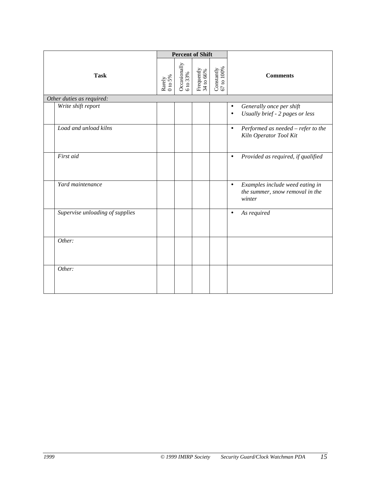|             |                                 | <b>Percent of Shift</b> |                               |                           |                            |                                                                                           |
|-------------|---------------------------------|-------------------------|-------------------------------|---------------------------|----------------------------|-------------------------------------------------------------------------------------------|
| <b>Task</b> |                                 | Rarely<br>0 to 5%       | Occasionally<br>$6$ to $33\%$ | Frequently $34$ to $66\%$ | Constantly $67$ to $100\%$ | <b>Comments</b>                                                                           |
|             | Other duties as required:       |                         |                               |                           |                            |                                                                                           |
|             | Write shift report              |                         |                               |                           |                            | Generally once per shift<br>$\bullet$<br>Usually brief - 2 pages or less<br>$\bullet$     |
|             | Load and unload kilns           |                         |                               |                           |                            | Performed as needed - refer to the<br>$\bullet$<br>Kiln Operator Tool Kit                 |
|             | First aid                       |                         |                               |                           |                            | Provided as required, if qualified<br>$\bullet$                                           |
|             | Yard maintenance                |                         |                               |                           |                            | Examples include weed eating in<br>$\bullet$<br>the summer, snow removal in the<br>winter |
|             | Supervise unloading of supplies |                         |                               |                           |                            | As required<br>$\bullet$                                                                  |
|             | Other:                          |                         |                               |                           |                            |                                                                                           |
|             | Other:                          |                         |                               |                           |                            |                                                                                           |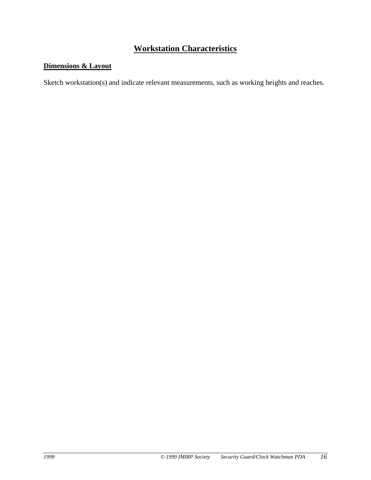#### **Workstation Characteristics**

#### <span id="page-15-1"></span><span id="page-15-0"></span>**Dimensions & Layout**

Sketch workstation(s) and indicate relevant measurements, such as working heights and reaches.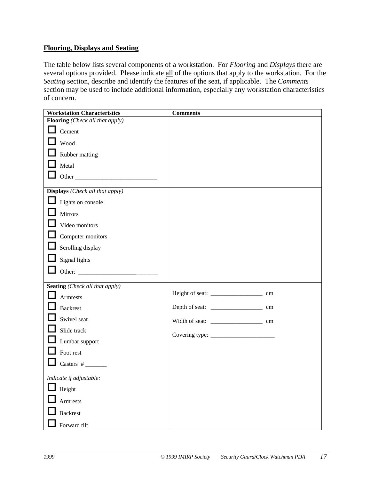#### <span id="page-16-1"></span><span id="page-16-0"></span>**Flooring, Displays and Seating**

The table below lists several components of a workstation. For *Flooring* and *Displays* there are several options provided. Please indicate all of the options that apply to the workstation. For the *Seating* section, describe and identify the features of the seat, if applicable. The *Comments* section may be used to include additional information, especially any workstation characteristics of concern.

| <b>Workstation Characteristics</b>              | <b>Comments</b> |    |
|-------------------------------------------------|-----------------|----|
| Flooring (Check all that apply)                 |                 |    |
| Cement                                          |                 |    |
| Wood                                            |                 |    |
| Rubber matting                                  |                 |    |
| Metal                                           |                 |    |
|                                                 |                 |    |
| <b>Displays</b> ( <i>Check all that apply</i> ) |                 |    |
| Lights on console                               |                 |    |
| Mirrors                                         |                 |    |
| Video monitors                                  |                 |    |
| Computer monitors                               |                 |    |
| Scrolling display                               |                 |    |
| Signal lights                                   |                 |    |
|                                                 |                 |    |
|                                                 |                 |    |
| <b>Seating</b> (Check all that apply)           |                 |    |
| <b>Armrests</b>                                 |                 | cm |
| <b>Backrest</b>                                 |                 |    |
| Swivel seat                                     |                 |    |
| Slide track                                     |                 |    |
| Lumbar support                                  |                 |    |
| Foot rest                                       |                 |    |
|                                                 |                 |    |
| Indicate if adjustable:                         |                 |    |
| $\Box$ Height                                   |                 |    |
| Armrests                                        |                 |    |
| <b>Backrest</b>                                 |                 |    |
| Forward tilt                                    |                 |    |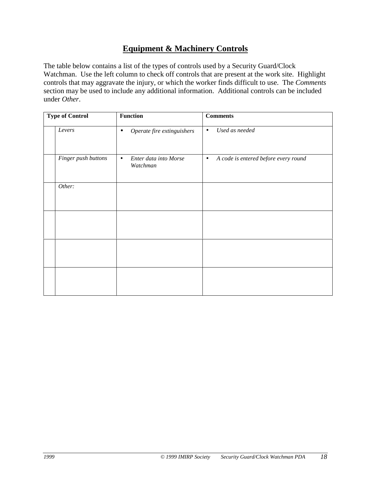#### **Equipment & Machinery Controls**

<span id="page-17-1"></span><span id="page-17-0"></span>The table below contains a list of the types of controls used by a Security Guard/Clock Watchman. Use the left column to check off controls that are present at the work site. Highlight controls that may aggravate the injury, or which the worker finds difficult to use. The *Comments* section may be used to include any additional information. Additional controls can be included under *Other*.

| <b>Type of Control</b> |                     | <b>Function</b>                                | <b>Comments</b>                                   |
|------------------------|---------------------|------------------------------------------------|---------------------------------------------------|
|                        | Levers              | Operate fire extinguishers<br>$\bullet$        | Used as needed<br>$\bullet$                       |
|                        | Finger push buttons | Enter data into Morse<br>$\bullet$<br>Watchman | A code is entered before every round<br>$\bullet$ |
|                        | Other:              |                                                |                                                   |
|                        |                     |                                                |                                                   |
|                        |                     |                                                |                                                   |
|                        |                     |                                                |                                                   |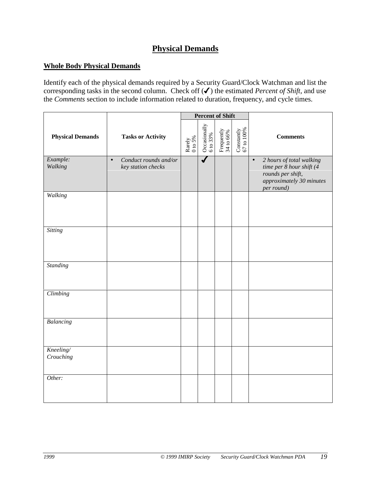#### **Physical Demands**

#### <span id="page-18-1"></span><span id="page-18-0"></span>**Whole Body Physical Demands**

Identify each of the physical demands required by a Security Guard/Clock Watchman and list the corresponding tasks in the second column.Check off (✔) the estimated *Percent of Shift,* and use the *Comments* section to include information related to duration, frequency, and cycle times.

|                         |                                                          |                     | <b>Percent of Shift</b>                                               |                         |                            |                                                                                                                                  |
|-------------------------|----------------------------------------------------------|---------------------|-----------------------------------------------------------------------|-------------------------|----------------------------|----------------------------------------------------------------------------------------------------------------------------------|
| <b>Physical Demands</b> | <b>Tasks or Activity</b>                                 | Rarely $0$ to $5\%$ | $\begin{array}{c} {\rm Occasionally}\\ 6\ {\rm to}\ 33\% \end{array}$ | Frequently 34 to $66\%$ | Constantly $67$ to $100\%$ | <b>Comments</b>                                                                                                                  |
| Example:<br>Walking     | Conduct rounds and/or<br>$\bullet$<br>key station checks |                     | $\overline{\bm{J}}$                                                   |                         |                            | 2 hours of total walking<br>$\bullet$<br>time per 8 hour shift (4<br>rounds per shift,<br>approximately 30 minutes<br>per round) |
| Walking                 |                                                          |                     |                                                                       |                         |                            |                                                                                                                                  |
| <b>Sitting</b>          |                                                          |                     |                                                                       |                         |                            |                                                                                                                                  |
| <b>Standing</b>         |                                                          |                     |                                                                       |                         |                            |                                                                                                                                  |
| Climbing                |                                                          |                     |                                                                       |                         |                            |                                                                                                                                  |
| Balancing               |                                                          |                     |                                                                       |                         |                            |                                                                                                                                  |
| Kneeling/<br>Crouching  |                                                          |                     |                                                                       |                         |                            |                                                                                                                                  |
| Other:                  |                                                          |                     |                                                                       |                         |                            |                                                                                                                                  |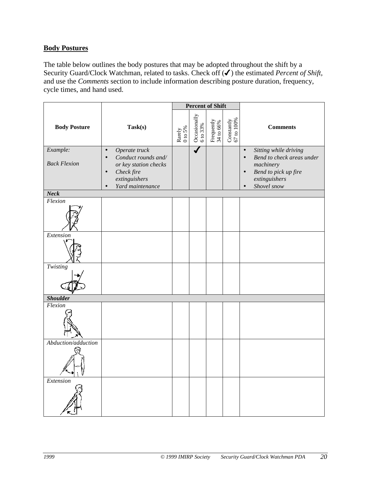#### <span id="page-19-1"></span><span id="page-19-0"></span>**Body Postures**

The table below outlines the body postures that may be adopted throughout the shift by a Security Guard/Clock Watchman, related to tasks. Check off (✔) the estimated *Percent of Shift,* and use the *Comments* section to include information describing posture duration, frequency, cycle times, and hand used.

|                                 | <b>Percent of Shift</b>                                                                                                                                 |                     |                               |                                                                        |                            |                                                                                                                                                                |
|---------------------------------|---------------------------------------------------------------------------------------------------------------------------------------------------------|---------------------|-------------------------------|------------------------------------------------------------------------|----------------------------|----------------------------------------------------------------------------------------------------------------------------------------------------------------|
| <b>Body Posture</b>             | Task(s)                                                                                                                                                 | Rarely $0$ to $5\%$ | Occasionally<br>$6$ to $33\%$ | $\begin{array}{c} \rm{Frequently} \\ 34 \text{ to } 66 \% \end{array}$ | Constantly $67$ to $100\%$ | <b>Comments</b>                                                                                                                                                |
| Example:<br><b>Back Flexion</b> | Operate truck<br>$\bullet$<br>Conduct rounds and/<br>$\bullet$<br>or key station checks<br>Check fire<br>extinguishers<br>Yard maintenance<br>$\bullet$ |                     |                               |                                                                        |                            | Sitting while driving<br>$\bullet$<br>Bend to check areas under<br>$\bullet$<br>machinery<br>Bend to pick up fire<br>extinguishers<br>Shovel snow<br>$\bullet$ |
| <b>Neck</b>                     |                                                                                                                                                         |                     |                               |                                                                        |                            |                                                                                                                                                                |
| Flexion                         |                                                                                                                                                         |                     |                               |                                                                        |                            |                                                                                                                                                                |
| Extension                       |                                                                                                                                                         |                     |                               |                                                                        |                            |                                                                                                                                                                |
| $\overline{T}$ wisting          |                                                                                                                                                         |                     |                               |                                                                        |                            |                                                                                                                                                                |
| <b>Shoulder</b>                 |                                                                                                                                                         |                     |                               |                                                                        |                            |                                                                                                                                                                |
| Flexion                         |                                                                                                                                                         |                     |                               |                                                                        |                            |                                                                                                                                                                |
| Abduction/adduction             |                                                                                                                                                         |                     |                               |                                                                        |                            |                                                                                                                                                                |
| Extension                       |                                                                                                                                                         |                     |                               |                                                                        |                            |                                                                                                                                                                |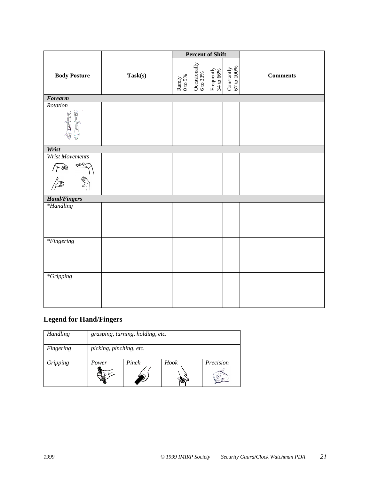|                        |         | <b>Percent of Shift</b> |                          |                                                                       |                            |                 |  |
|------------------------|---------|-------------------------|--------------------------|-----------------------------------------------------------------------|----------------------------|-----------------|--|
| <b>Body Posture</b>    | Task(s) | Rarely 0 to 5%          | Occasionally<br>6 to 33% | $\begin{array}{c} \rm{Frequently} \\ 34 \text{ to } 66\% \end{array}$ | Constantly $67$ to $100\%$ | <b>Comments</b> |  |
| <b>Forearm</b>         |         |                         |                          |                                                                       |                            |                 |  |
| Rotation               |         |                         |                          |                                                                       |                            |                 |  |
| Wrist                  |         |                         |                          |                                                                       |                            |                 |  |
| <b>Wrist Movements</b> |         |                         |                          |                                                                       |                            |                 |  |
|                        |         |                         |                          |                                                                       |                            |                 |  |
| <b>Hand/Fingers</b>    |         |                         |                          |                                                                       |                            |                 |  |
| $*$ Handling           |         |                         |                          |                                                                       |                            |                 |  |
| $*Fingering$           |         |                         |                          |                                                                       |                            |                 |  |
| $*Gripping$            |         |                         |                          |                                                                       |                            |                 |  |

#### **Legend for Hand/Fingers**

| Handling  | grasping, turning, holding, etc. |       |      |           |  |  |  |
|-----------|----------------------------------|-------|------|-----------|--|--|--|
| Fingering | picking, pinching, etc.          |       |      |           |  |  |  |
| Gripping  | Power                            | Pinch | Hook | Precision |  |  |  |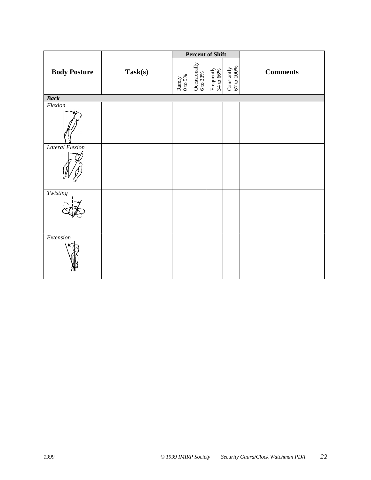|                        |         |                |                               | <b>Percent of Shift</b>                                                   |                            |                 |  |
|------------------------|---------|----------------|-------------------------------|---------------------------------------------------------------------------|----------------------------|-----------------|--|
| <b>Body Posture</b>    | Task(s) | Rarely 0 to 5% | Occasionally<br>$6$ to $33\%$ | $\begin{array}{c} \mathrm{Frequently} \\ 34 \text{ to } 66\% \end{array}$ | Constantly $67$ to $100\%$ | <b>Comments</b> |  |
| <b>Back</b>            |         |                |                               |                                                                           |                            |                 |  |
| Flexion                |         |                |                               |                                                                           |                            |                 |  |
|                        |         |                |                               |                                                                           |                            |                 |  |
| <b>Lateral Flexion</b> |         |                |                               |                                                                           |                            |                 |  |
|                        |         |                |                               |                                                                           |                            |                 |  |
| Twisting               |         |                |                               |                                                                           |                            |                 |  |
|                        |         |                |                               |                                                                           |                            |                 |  |
| Extension              |         |                |                               |                                                                           |                            |                 |  |
|                        |         |                |                               |                                                                           |                            |                 |  |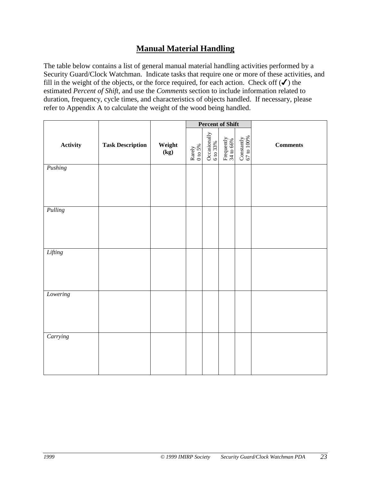#### **Manual Material Handling**

<span id="page-22-1"></span><span id="page-22-0"></span>The table below contains a list of general manual material handling activities performed by a Security Guard/Clock Watchman. Indicate tasks that require one or more of these activities, and fill in the weight of the objects, or the force required, for each action. Check off  $(\checkmark)$  the estimated *Percent of Shift,* and use the *Comments* section to include information related to duration, frequency, cycle times, and characteristics of objects handled. If necessary, please refer to Appendix A to calculate the weight of the wood being handled.

|          |                         |                |                        | <b>Percent of Shift</b>    |                         |                            |            |
|----------|-------------------------|----------------|------------------------|----------------------------|-------------------------|----------------------------|------------|
| Activity | <b>Task Description</b> | Weight<br>(kg) | Rarely<br>$0$ to $5\%$ | Occasionally $6$ to $33\%$ | Frequently<br>34 to 66% | Constantly $67$ to $100\%$ | $Comments$ |
| Pushing  |                         |                |                        |                            |                         |                            |            |
|          |                         |                |                        |                            |                         |                            |            |
| Pulling  |                         |                |                        |                            |                         |                            |            |
|          |                         |                |                        |                            |                         |                            |            |
| Lifting  |                         |                |                        |                            |                         |                            |            |
|          |                         |                |                        |                            |                         |                            |            |
| Lowering |                         |                |                        |                            |                         |                            |            |
|          |                         |                |                        |                            |                         |                            |            |
| Carrying |                         |                |                        |                            |                         |                            |            |
|          |                         |                |                        |                            |                         |                            |            |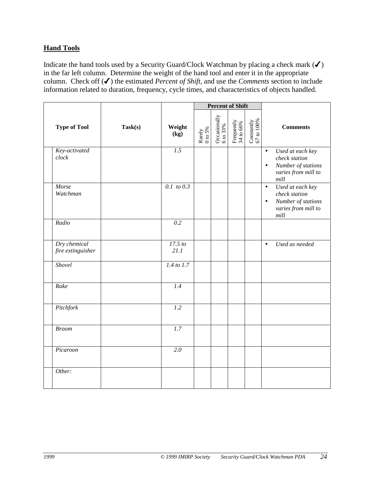#### <span id="page-23-1"></span><span id="page-23-0"></span>**Hand Tools**

Indicate the hand tools used by a Security Guard/Clock Watchman by placing a check mark  $(\checkmark)$ in the far left column. Determine the weight of the hand tool and enter it in the appropriate column. Check off (✔) the estimated *Percent of Shift,* and use the *Comments* section to include information related to duration, frequency, cycle times, and characteristics of objects handled.

|                                   |         |                  |                  | <b>Percent of Shift</b>       |                                                                     |                            |                                                                                                                    |
|-----------------------------------|---------|------------------|------------------|-------------------------------|---------------------------------------------------------------------|----------------------------|--------------------------------------------------------------------------------------------------------------------|
| <b>Type of Tool</b>               | Task(s) | Weight<br>(kg)   | Rarely $0$ to 5% | Occasionally<br>$6$ to $33\%$ | $\begin{array}{c} \rm{Frequently} \\ \rm{34\ to\ 66\%} \end{array}$ | Constantly $67$ to $100\%$ | <b>Comments</b>                                                                                                    |
| Key-activated<br>clock            |         | 1.5              |                  |                               |                                                                     |                            | Used at each key<br>$\bullet$<br>check station<br>Number of stations<br>$\bullet$<br>varies from mill to<br>$mill$ |
| Morse<br>Watchman                 |         | $0.1$ to 0.3     |                  |                               |                                                                     |                            | Used at each key<br>$\bullet$<br>check station<br>Number of stations<br>$\bullet$<br>varies from mill to<br>mill   |
| Radio                             |         | 0.2              |                  |                               |                                                                     |                            |                                                                                                                    |
| Dry chemical<br>fire extinguisher |         | 17.5 to<br>21.1  |                  |                               |                                                                     |                            | Used as needed<br>$\bullet$                                                                                        |
| Shovel                            |         | $1.4$ to 1.7     |                  |                               |                                                                     |                            |                                                                                                                    |
| Rake                              |         | 1.4              |                  |                               |                                                                     |                            |                                                                                                                    |
| Pitchfork                         |         | $\overline{1.2}$ |                  |                               |                                                                     |                            |                                                                                                                    |
| <b>Broom</b>                      |         | $\overline{1.7}$ |                  |                               |                                                                     |                            |                                                                                                                    |
| Picaroon                          |         | $\overline{2.0}$ |                  |                               |                                                                     |                            |                                                                                                                    |
| Other:                            |         |                  |                  |                               |                                                                     |                            |                                                                                                                    |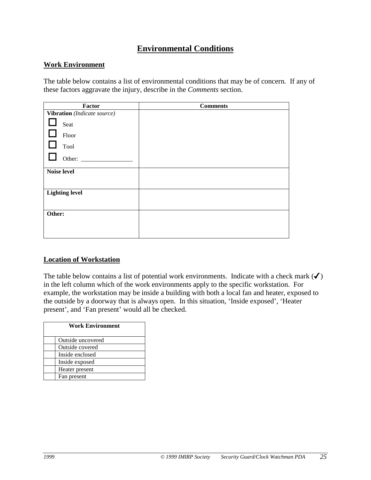#### **Environmental Conditions**

#### <span id="page-24-1"></span><span id="page-24-0"></span>**Work Environment**

The table below contains a list of environmental conditions that may be of concern. If any of these factors aggravate the injury, describe in the *Comments* section.

| Factor                      | <b>Comments</b> |
|-----------------------------|-----------------|
| Vibration (Indicate source) |                 |
| Seat                        |                 |
| Floor                       |                 |
| $\Box$<br>Tool              |                 |
| Other:                      |                 |
| <b>Noise level</b>          |                 |
|                             |                 |
| <b>Lighting level</b>       |                 |
|                             |                 |
| Other:                      |                 |
|                             |                 |
|                             |                 |

#### **Location of Workstation**

The table below contains a list of potential work environments. Indicate with a check mark  $(\checkmark)$ in the left column which of the work environments apply to the specific workstation. For example, the workstation may be inside a building with both a local fan and heater, exposed to the outside by a doorway that is always open. In this situation, 'Inside exposed', 'Heater present', and 'Fan present' would all be checked.

| <b>Work Environment</b> |
|-------------------------|
| Outside uncovered       |
| Outside covered         |
| Inside enclosed         |
| Inside exposed          |
| Heater present          |
| Fan present             |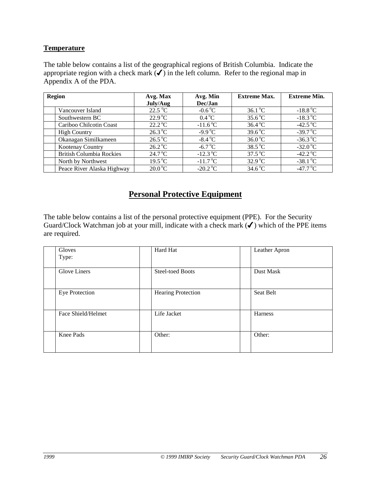#### <span id="page-25-1"></span><span id="page-25-0"></span>**Temperature**

The table below contains a list of the geographical regions of British Columbia. Indicate the appropriate region with a check mark  $(\checkmark)$  in the left column. Refer to the regional map in Appendix A of the PDA.

| <b>Region</b>                   | Avg. Max         | Avg. Min                  | <b>Extreme Max.</b> | <b>Extreme Min.</b>         |
|---------------------------------|------------------|---------------------------|---------------------|-----------------------------|
|                                 | July/Aug         | Dec/Jan                   |                     |                             |
| Vancouver Island                | $22.5\text{ °C}$ | $-0.6\degree C$           | $36.1\text{°C}$     | $-18.8\,^{\circ}\mathrm{C}$ |
| Southwestern BC                 | $22.9^{\circ}$ C | $0.4\degree C$            | $35.6^{\circ}$ C    | $-18.3\text{ °C}$           |
| Cariboo Chilcotin Coast         | $22.2^{\circ}$ C | $-11.6\,^{\circ}\text{C}$ | $36.4\text{ °C}$    | $-42.5\,\mathrm{^oC}$       |
| <b>High Country</b>             | $26.3\degree C$  | $-9.9^{\circ}C$           | $39.6^{\circ}$ C    | $-39.7^{\circ}$ C           |
| Okanagan Similkameen            | $26.5\text{ °C}$ | $-8.4\text{ °C}$          | $36.0\degree C$     | $-36.3\text{ °C}$           |
| Kootenay Country                | $26.2\degree C$  | -6.7 $^{\circ}$ C         | $38.5^{\circ}$ C    | $-32.0\degree C$            |
| <b>British Columbia Rockies</b> | $24.7^{\circ}$ C | $-12.3\,\mathrm{^oC}$     | $37.5^{\circ}$ C    | $-42.2^{\circ}C$            |
| North by Northwest              | $19.5\text{°C}$  | $-11.7^{\circ}C$          | $32.9^{\circ}$ C    | $-38.1$ °C                  |
| Peace River Alaska Highway      | $20.0\degree C$  | $-20.2\degree C$          | $34.6\degree C$     | $-47.7^{\circ}$ C           |

#### **Personal Protective Equipment**

The table below contains a list of the personal protective equipment (PPE). For the Security Guard/Clock Watchman job at your mill, indicate with a check mark  $(\checkmark)$  which of the PPE items are required.

| Gloves<br>Type:    | Hard Hat                | Leather Apron |
|--------------------|-------------------------|---------------|
| Glove Liners       | <b>Steel-toed Boots</b> | Dust Mask     |
| Eye Protection     | Hearing Protection      | Seat Belt     |
| Face Shield/Helmet | Life Jacket             | Harness       |
| Knee Pads          | Other:                  | Other:        |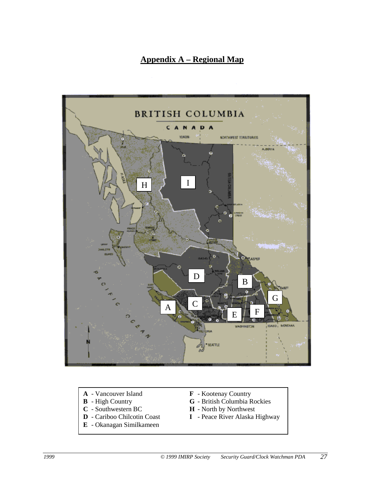#### **Appendix A – Regional Map**

<span id="page-26-1"></span><span id="page-26-0"></span>

- **A** Vancouver Island **F** Kootenay Country<br> **B** High Country **G** British Columbia R
- 
- 
- 
- **E** Okanagan Similkameen
- 
- **B** High Country<br> **C** Southwestern BC<br> **H** North by Northwest
	- **H** North by Northwest
- **D** Cariboo Chilcotin Coast **I** Peace River Alaska Highway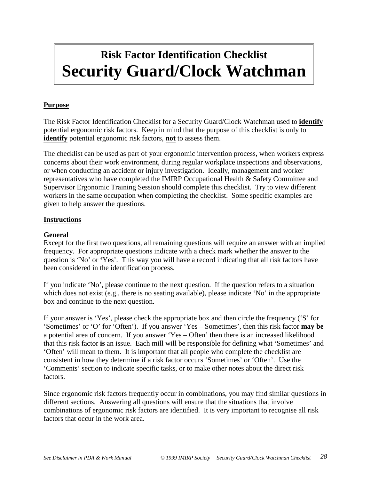## <span id="page-27-0"></span>**Risk Factor Identification Checklist Security Guard/Clock Watchman**

#### **Purpose**

The Risk Factor Identification Checklist for a Security Guard/Clock Watchman used to **identify** potential ergonomic risk factors. Keep in mind that the purpose of this checklist is only to **identify** potential ergonomic risk factors, **not** to assess them.

The checklist can be used as part of your ergonomic intervention process, when workers express concerns about their work environment, during regular workplace inspections and observations, or when conducting an accident or injury investigation. Ideally, management and worker representatives who have completed the IMIRP Occupational Health & Safety Committee and Supervisor Ergonomic Training Session should complete this checklist. Try to view different workers in the same occupation when completing the checklist. Some specific examples are given to help answer the questions.

#### **Instructions**

#### **General**

Except for the first two questions, all remaining questions will require an answer with an implied frequency. For appropriate questions indicate with a check mark whether the answer to the question is 'No' or **'**Yes'. This way you will have a record indicating that all risk factors have been considered in the identification process.

If you indicate 'No', please continue to the next question. If the question refers to a situation which does not exist (e.g., there is no seating available), please indicate 'No' in the appropriate box and continue to the next question.

If your answer is 'Yes', please check the appropriate box and then circle the frequency ('S' for 'Sometimes' or 'O' for 'Often'). If you answer 'Yes – Sometimes', then this risk factor **may be** a potential area of concern. If you answer 'Yes – Often' then there is an increased likelihood that this risk factor **is** an issue. Each mill will be responsible for defining what 'Sometimes' and 'Often' will mean to them. It is important that all people who complete the checklist are consistent in how they determine if a risk factor occurs 'Sometimes' or 'Often'. Use the 'Comments' section to indicate specific tasks, or to make other notes about the direct risk factors.

Since ergonomic risk factors frequently occur in combinations, you may find similar questions in different sections. Answering all questions will ensure that the situations that involve combinations of ergonomic risk factors are identified. It is very important to recognise all risk factors that occur in the work area.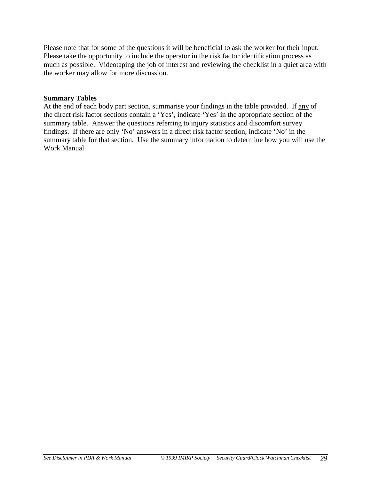Please note that for some of the questions it will be beneficial to ask the worker for their input. Please take the opportunity to include the operator in the risk factor identification process as much as possible. Videotaping the job of interest and reviewing the checklist in a quiet area with the worker may allow for more discussion.

#### **Summary Tables**

At the end of each body part section, summarise your findings in the table provided. If any of the direct risk factor sections contain a 'Yes', indicate 'Yes' in the appropriate section of the summary table. Answer the questions referring to injury statistics and discomfort survey findings. If there are only 'No' answers in a direct risk factor section, indicate 'No' in the summary table for that section. Use the summary information to determine how you will use the Work Manual.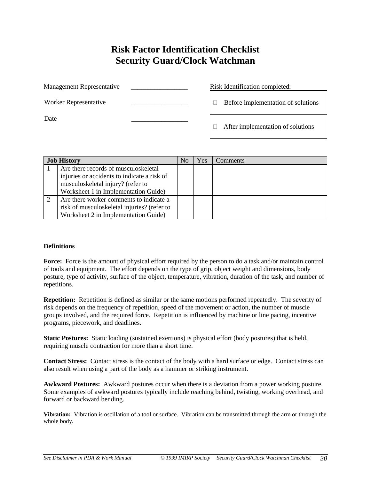#### **Risk Factor Identification Checklist Security Guard/Clock Watchman**

<span id="page-29-0"></span>

| Management Representative | Risk Identification completed:     |
|---------------------------|------------------------------------|
| Worker Representative     | Before implementation of solutions |
| Date                      | After implementation of solutions  |

| <b>Job History</b>                          | No | Yes | Comments |
|---------------------------------------------|----|-----|----------|
| Are there records of musculoskeletal        |    |     |          |
| injuries or accidents to indicate a risk of |    |     |          |
| musculoskeletal injury? (refer to           |    |     |          |
| Worksheet 1 in Implementation Guide)        |    |     |          |
| Are there worker comments to indicate a     |    |     |          |
| risk of musculoskeletal injuries? (refer to |    |     |          |
| Worksheet 2 in Implementation Guide)        |    |     |          |

#### **Definitions**

Force: Force is the amount of physical effort required by the person to do a task and/or maintain control of tools and equipment. The effort depends on the type of grip, object weight and dimensions, body posture, type of activity, surface of the object, temperature, vibration, duration of the task, and number of repetitions.

**Repetition:** Repetition is defined as similar or the same motions performed repeatedly. The severity of risk depends on the frequency of repetition, speed of the movement or action, the number of muscle groups involved, and the required force. Repetition is influenced by machine or line pacing, incentive programs, piecework, and deadlines.

**Static Postures:** Static loading (sustained exertions) is physical effort (body postures) that is held, requiring muscle contraction for more than a short time.

**Contact Stress:** Contact stress is the contact of the body with a hard surface or edge. Contact stress can also result when using a part of the body as a hammer or striking instrument.

**Awkward Postures:** Awkward postures occur when there is a deviation from a power working posture. Some examples of awkward postures typically include reaching behind, twisting, working overhead, and forward or backward bending.

**Vibration:** Vibration is oscillation of a tool or surface. Vibration can be transmitted through the arm or through the whole body.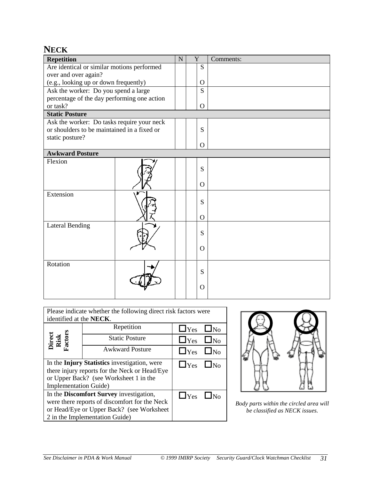#### <span id="page-30-0"></span>**NECK**

| <b>Repetition</b>                           |  | $\mathbf N$ | Y              | Comments: |
|---------------------------------------------|--|-------------|----------------|-----------|
| Are identical or similar motions performed  |  |             | S              |           |
| over and over again?                        |  |             |                |           |
| (e.g., looking up or down frequently)       |  |             | $\Omega$       |           |
| Ask the worker: Do you spend a large        |  |             | S              |           |
| percentage of the day performing one action |  |             |                |           |
| or task?                                    |  |             | $\overline{O}$ |           |
| <b>Static Posture</b>                       |  |             |                |           |
| Ask the worker: Do tasks require your neck  |  |             |                |           |
| or shoulders to be maintained in a fixed or |  |             | S              |           |
| static posture?                             |  |             |                |           |
|                                             |  |             | $\overline{O}$ |           |
| <b>Awkward Posture</b>                      |  |             |                |           |
| Flexion                                     |  |             | S              |           |
|                                             |  |             | $\Omega$       |           |
| Extension                                   |  |             | S              |           |
|                                             |  |             | $\Omega$       |           |
| <b>Lateral Bending</b>                      |  |             | S              |           |
|                                             |  |             | $\Omega$       |           |
| Rotation                                    |  |             | S              |           |
|                                             |  |             | $\Omega$       |           |

| Please indicate whether the following direct risk factors were                            |  |  |  |  |  |  |  |
|-------------------------------------------------------------------------------------------|--|--|--|--|--|--|--|
| identified at the <b>NECK</b> .                                                           |  |  |  |  |  |  |  |
| Repetition<br>$\Box$ Yes<br>$\Box$ No                                                     |  |  |  |  |  |  |  |
| Direct<br>Risk<br><sup>T</sup> actors<br><b>Static Posture</b><br>$\Box$ Yes<br>$\Box$ No |  |  |  |  |  |  |  |
| <b>Awkward Posture</b><br>$\Box$ Yes $\Box$ No                                            |  |  |  |  |  |  |  |
| In the Injury Statistics investigation, were<br>$\Box$ Yes<br>$\mathsf{LN}_0$             |  |  |  |  |  |  |  |
| there injury reports for the Neck or Head/Eye                                             |  |  |  |  |  |  |  |
| or Upper Back? (see Worksheet 1 in the                                                    |  |  |  |  |  |  |  |
| Implementation Guide)                                                                     |  |  |  |  |  |  |  |
| In the Discomfort Survey investigation,<br>$\Box$ Yes                                     |  |  |  |  |  |  |  |
| were there reports of discomfort for the Neck                                             |  |  |  |  |  |  |  |
| or Head/Eye or Upper Back? (see Worksheet                                                 |  |  |  |  |  |  |  |
| 2 in the Implementation Guide)                                                            |  |  |  |  |  |  |  |



*Body parts within the circled area will be classified as NECK issues.*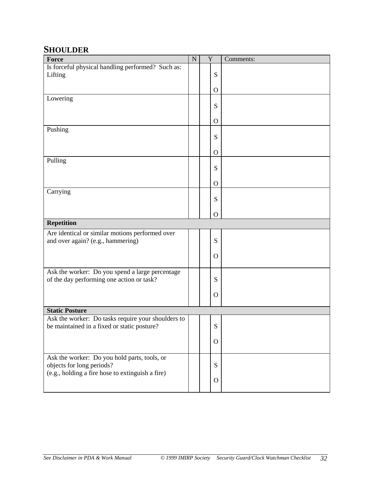#### <span id="page-31-0"></span>**SHOULDER**

| Force                                                                                        | $\mathbf N$ | Y            | Comments: |
|----------------------------------------------------------------------------------------------|-------------|--------------|-----------|
| Is forceful physical handling performed? Such as:                                            |             |              |           |
| Lifting                                                                                      |             | S            |           |
|                                                                                              |             | $\mathbf{O}$ |           |
| Lowering                                                                                     |             |              |           |
|                                                                                              |             | S            |           |
|                                                                                              |             | $\mathbf{O}$ |           |
| Pushing                                                                                      |             |              |           |
|                                                                                              |             | S            |           |
|                                                                                              |             | $\Omega$     |           |
| Pulling                                                                                      |             |              |           |
|                                                                                              |             | S            |           |
|                                                                                              |             | $\mathbf{O}$ |           |
| Carrying                                                                                     |             |              |           |
|                                                                                              |             | S            |           |
|                                                                                              |             | $\mathbf{O}$ |           |
| <b>Repetition</b>                                                                            |             |              |           |
| Are identical or similar motions performed over                                              |             |              |           |
| and over again? (e.g., hammering)                                                            |             | S            |           |
|                                                                                              |             | $\mathbf{O}$ |           |
|                                                                                              |             |              |           |
| Ask the worker: Do you spend a large percentage<br>of the day performing one action or task? |             | S            |           |
|                                                                                              |             |              |           |
|                                                                                              |             | $\Omega$     |           |
| <b>Static Posture</b>                                                                        |             |              |           |
| Ask the worker: Do tasks require your shoulders to                                           |             |              |           |
| be maintained in a fixed or static posture?                                                  |             | S            |           |
|                                                                                              |             | $\mathbf{O}$ |           |
|                                                                                              |             |              |           |
| Ask the worker: Do you hold parts, tools, or                                                 |             |              |           |
| objects for long periods?<br>(e.g., holding a fire hose to extinguish a fire)                |             | S            |           |
|                                                                                              |             | $\Omega$     |           |
|                                                                                              |             |              |           |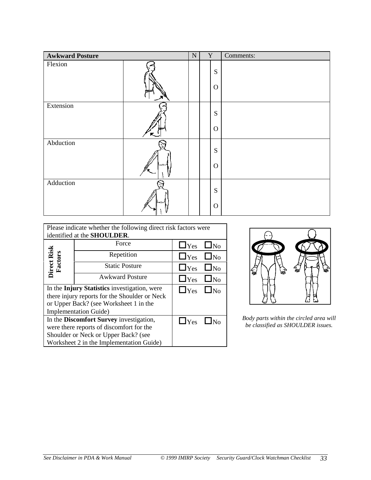| <b>Awkward Posture</b> |   | ${\bf N}$ | $\mathbf Y$ |                           | Comments: |
|------------------------|---|-----------|-------------|---------------------------|-----------|
| Flexion                |   |           |             | S<br>$\mathbf{O}$         |           |
| Extension              | ↖ |           |             | S<br>$\mathbf{O}$         |           |
| Abduction              |   |           |             | ${\bf S}$<br>$\mathbf{O}$ |           |
| Adduction              |   |           |             | S<br>$\mathbf{O}$         |           |

| Please indicate whether the following direct risk factors were |                                               |                      |           |  |  |  |  |  |  |
|----------------------------------------------------------------|-----------------------------------------------|----------------------|-----------|--|--|--|--|--|--|
| identified at the <b>SHOULDER</b> .                            |                                               |                      |           |  |  |  |  |  |  |
|                                                                | $\Box$ Yes                                    | $\Box_{\rm No}$      |           |  |  |  |  |  |  |
|                                                                | Repetition                                    | $\Box$ Yes $\Box$ No |           |  |  |  |  |  |  |
| Direct Risk<br>Factors                                         | <b>Static Posture</b>                         | $\Box$ Yes           | $\Box$ No |  |  |  |  |  |  |
|                                                                | <b>Awkward Posture</b>                        | $\Box$ Yes           | $\Box$ No |  |  |  |  |  |  |
|                                                                | In the Injury Statistics investigation, were  | $\Box$ Yes $\Box$ No |           |  |  |  |  |  |  |
|                                                                | there injury reports for the Shoulder or Neck |                      |           |  |  |  |  |  |  |
|                                                                | or Upper Back? (see Worksheet 1 in the        |                      |           |  |  |  |  |  |  |
|                                                                | <b>Implementation Guide</b> )                 |                      |           |  |  |  |  |  |  |
|                                                                | In the Discomfort Survey investigation,       | $\Box$ Yes $\Box$ No |           |  |  |  |  |  |  |
|                                                                | were there reports of discomfort for the      |                      |           |  |  |  |  |  |  |
|                                                                | Shoulder or Neck or Upper Back? (see          |                      |           |  |  |  |  |  |  |
|                                                                | Worksheet 2 in the Implementation Guide)      |                      |           |  |  |  |  |  |  |



Body parts within the circled area will *be classified as SHOULDER issues.*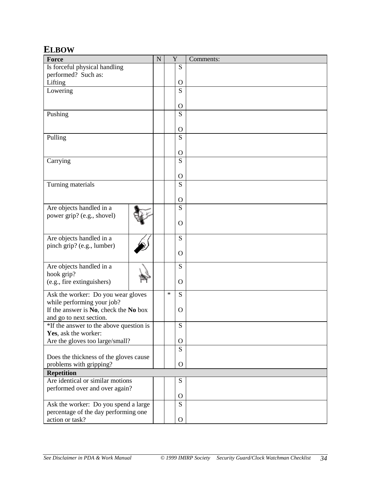#### <span id="page-33-0"></span>**ELBOW**

| <b>Force</b>                            | $\mathbf N$ |        | Y            | Comments: |
|-----------------------------------------|-------------|--------|--------------|-----------|
| Is forceful physical handling           |             |        | S            |           |
| performed? Such as:                     |             |        |              |           |
| Lifting                                 |             |        | $\mathbf{O}$ |           |
| Lowering                                |             |        | S            |           |
|                                         |             |        |              |           |
|                                         |             |        | $\mathbf{O}$ |           |
| Pushing                                 |             |        | S            |           |
|                                         |             |        |              |           |
|                                         |             |        | $\Omega$     |           |
| Pulling                                 |             |        | S            |           |
|                                         |             |        |              |           |
|                                         |             |        | $\mathbf{O}$ |           |
| Carrying                                |             |        | S            |           |
|                                         |             |        |              |           |
|                                         |             |        | $\mathbf{O}$ |           |
| Turning materials                       |             |        | S            |           |
|                                         |             |        | $\Omega$     |           |
| Are objects handled in a                |             |        | S            |           |
| power grip? (e.g., shovel)              |             |        |              |           |
|                                         |             |        | $\Omega$     |           |
|                                         |             |        |              |           |
| Are objects handled in a                |             |        | S            |           |
| pinch grip? (e.g., lumber)              |             |        |              |           |
|                                         |             |        | $\Omega$     |           |
|                                         |             |        |              |           |
| Are objects handled in a                |             |        | S            |           |
| hook grip?                              |             |        |              |           |
| (e.g., fire extinguishers)              |             |        | $\Omega$     |           |
| Ask the worker: Do you wear gloves      |             | $\ast$ | S            |           |
| while performing your job?              |             |        |              |           |
| If the answer is No, check the No box   |             |        | O            |           |
| and go to next section.                 |             |        |              |           |
| *If the answer to the above question is |             |        | S            |           |
| Yes, ask the worker:                    |             |        |              |           |
| Are the gloves too large/small?         |             |        | $\mathbf{O}$ |           |
|                                         |             |        | S            |           |
| Does the thickness of the gloves cause  |             |        |              |           |
| problems with gripping?                 |             |        | $\Omega$     |           |
| <b>Repetition</b>                       |             |        |              |           |
| Are identical or similar motions        |             |        | ${\bf S}$    |           |
| performed over and over again?          |             |        |              |           |
|                                         |             |        | $\Omega$     |           |
| Ask the worker: Do you spend a large    |             |        | S            |           |
| percentage of the day performing one    |             |        |              |           |
| action or task?                         |             |        | $\mathbf{O}$ |           |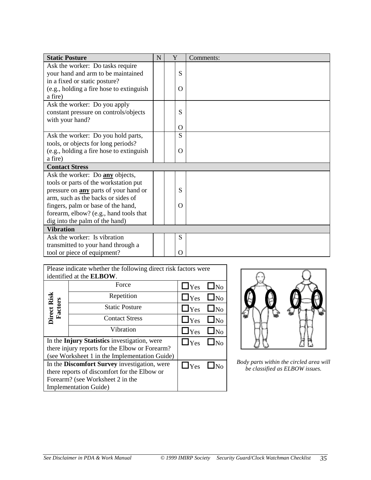| <b>Static Posture</b>                        | N | Y |          | Comments: |
|----------------------------------------------|---|---|----------|-----------|
| Ask the worker: Do tasks require             |   |   |          |           |
| your hand and arm to be maintained           |   |   | S        |           |
| in a fixed or static posture?                |   |   |          |           |
| (e.g., holding a fire hose to extinguish     |   |   | O        |           |
| a fire)                                      |   |   |          |           |
| Ask the worker: Do you apply                 |   |   |          |           |
| constant pressure on controls/objects        |   |   | S        |           |
| with your hand?                              |   |   |          |           |
|                                              |   |   | Ω        |           |
| Ask the worker: Do you hold parts,           |   |   | S        |           |
| tools, or objects for long periods?          |   |   |          |           |
| (e.g., holding a fire hose to extinguish     |   |   | O        |           |
| a fire)                                      |   |   |          |           |
| <b>Contact Stress</b>                        |   |   |          |           |
| Ask the worker: Do any objects,              |   |   |          |           |
| tools or parts of the workstation put        |   |   |          |           |
| pressure on <b>any</b> parts of your hand or |   |   | S        |           |
| arm, such as the backs or sides of           |   |   |          |           |
| fingers, palm or base of the hand,           |   |   | $\Omega$ |           |
| forearm, elbow? (e.g., hand tools that       |   |   |          |           |
| dig into the palm of the hand)               |   |   |          |           |
| <b>Vibration</b>                             |   |   |          |           |
| Ask the worker: Is vibration                 |   |   | S        |           |
| transmitted to your hand through a           |   |   |          |           |
| tool or piece of equipment?                  |   |   | $\Omega$ |           |

|                                              | Please indicate whether the following direct risk factors were |                         |                       |  |  |  |  |  |  |  |
|----------------------------------------------|----------------------------------------------------------------|-------------------------|-----------------------|--|--|--|--|--|--|--|
|                                              | identified at the ELBOW.                                       |                         |                       |  |  |  |  |  |  |  |
|                                              | $\Box$ Yes                                                     | $\Box$ No               |                       |  |  |  |  |  |  |  |
|                                              | Repetition                                                     |                         |                       |  |  |  |  |  |  |  |
|                                              | <b>Static Posture</b>                                          | $\Box$ Yes              | $\square_{\text{No}}$ |  |  |  |  |  |  |  |
| <b>Direct Risk</b><br>Factors                | $\Box$ Yes                                                     | $\square_{\mathrm{No}}$ |                       |  |  |  |  |  |  |  |
|                                              | Vibration                                                      | $\Box$ Yes              | $\square_{\text{No}}$ |  |  |  |  |  |  |  |
|                                              | In the Injury Statistics investigation, were                   | $\Box$ Yes              | $\square_{\text{No}}$ |  |  |  |  |  |  |  |
|                                              | there injury reports for the Elbow or Forearm?                 |                         |                       |  |  |  |  |  |  |  |
|                                              | (see Worksheet 1 in the Implementation Guide)                  |                         |                       |  |  |  |  |  |  |  |
| In the Discomfort Survey investigation, were | $\Box$ Yes                                                     |                         |                       |  |  |  |  |  |  |  |
|                                              | there reports of discomfort for the Elbow or                   |                         |                       |  |  |  |  |  |  |  |
| Forearm? (see Worksheet 2 in the             |                                                                |                         |                       |  |  |  |  |  |  |  |
|                                              | <b>Implementation Guide</b> )                                  |                         |                       |  |  |  |  |  |  |  |



**The** *Body parts within the circled area will be classified as ELBOW issues.*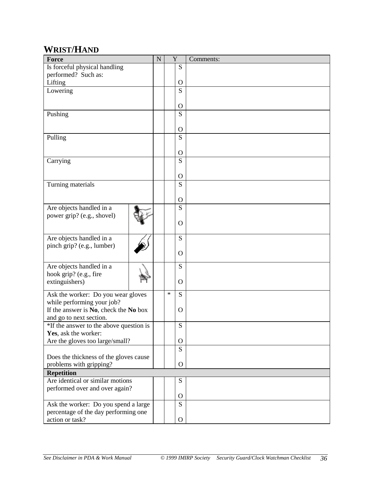#### <span id="page-35-0"></span>**WRIST/HAND**

| Force                                                             | ${\bf N}$ |        | Y                              | Comments: |
|-------------------------------------------------------------------|-----------|--------|--------------------------------|-----------|
| Is forceful physical handling                                     |           |        | S                              |           |
| performed? Such as:                                               |           |        |                                |           |
| Lifting                                                           |           |        | $\mathbf O$                    |           |
| Lowering                                                          |           |        | S                              |           |
|                                                                   |           |        |                                |           |
|                                                                   |           |        | $\mathbf O$<br>S               |           |
| Pushing                                                           |           |        |                                |           |
|                                                                   |           |        | O                              |           |
| Pulling                                                           |           |        | S                              |           |
|                                                                   |           |        |                                |           |
|                                                                   |           |        | $\mathbf O$                    |           |
| Carrying                                                          |           |        | $\overline{S}$                 |           |
|                                                                   |           |        |                                |           |
|                                                                   |           |        | $\mathbf{O}$<br>$\overline{S}$ |           |
| Turning materials                                                 |           |        |                                |           |
|                                                                   |           |        | $\mathbf O$                    |           |
| Are objects handled in a                                          |           |        | $\overline{S}$                 |           |
| power grip? (e.g., shovel)                                        |           |        |                                |           |
|                                                                   |           |        | O                              |           |
|                                                                   |           |        |                                |           |
| Are objects handled in a                                          |           |        | S                              |           |
| pinch grip? (e.g., lumber)                                        |           |        |                                |           |
|                                                                   |           |        | O                              |           |
| Are objects handled in a                                          |           |        | S                              |           |
| hook grip? (e.g., fire                                            |           |        |                                |           |
| extinguishers)                                                    |           |        | O                              |           |
| Ask the worker: Do you wear gloves                                |           | $\ast$ | S                              |           |
| while performing your job?                                        |           |        |                                |           |
| If the answer is No, check the No box                             |           |        | O                              |           |
| and go to next section.                                           |           |        |                                |           |
| *If the answer to the above question is                           |           |        | ${\bf S}$                      |           |
| Yes, ask the worker:                                              |           |        |                                |           |
| Are the gloves too large/small?                                   |           |        | $\mathbf{O}$                   |           |
|                                                                   |           |        | S                              |           |
| Does the thickness of the gloves cause<br>problems with gripping? |           |        | $\Omega$                       |           |
| <b>Repetition</b>                                                 |           |        |                                |           |
| Are identical or similar motions                                  |           |        | ${\bf S}$                      |           |
| performed over and over again?                                    |           |        |                                |           |
|                                                                   |           |        | $\mathbf{O}$                   |           |
| Ask the worker: Do you spend a large                              |           |        | $\overline{S}$                 |           |
| percentage of the day performing one                              |           |        |                                |           |
| action or task?                                                   |           |        | $\mathbf{O}$                   |           |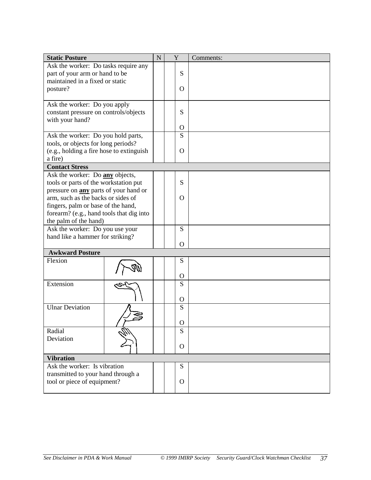| <b>Static Posture</b>                        | ${\bf N}$ | Y            | Comments: |
|----------------------------------------------|-----------|--------------|-----------|
| Ask the worker: Do tasks require any         |           |              |           |
| part of your arm or hand to be               |           | S            |           |
| maintained in a fixed or static              |           |              |           |
| posture?                                     |           | $\Omega$     |           |
|                                              |           |              |           |
| Ask the worker: Do you apply                 |           |              |           |
| constant pressure on controls/objects        |           | S            |           |
| with your hand?                              |           |              |           |
|                                              |           | O            |           |
| Ask the worker: Do you hold parts,           |           | S            |           |
| tools, or objects for long periods?          |           |              |           |
| (e.g., holding a fire hose to extinguish     |           | O            |           |
| a fire)                                      |           |              |           |
| <b>Contact Stress</b>                        |           |              |           |
| Ask the worker: Do any objects,              |           |              |           |
| tools or parts of the workstation put        |           | S            |           |
| pressure on <b>any</b> parts of your hand or |           |              |           |
| arm, such as the backs or sides of           |           | $\Omega$     |           |
| fingers, palm or base of the hand,           |           |              |           |
| forearm? (e.g., hand tools that dig into     |           |              |           |
| the palm of the hand)                        |           |              |           |
| Ask the worker: Do you use your              |           | S            |           |
| hand like a hammer for striking?             |           |              |           |
|                                              |           | O            |           |
| <b>Awkward Posture</b>                       |           |              |           |
| Flexion                                      |           | S            |           |
|                                              |           |              |           |
|                                              |           | O            |           |
| Extension                                    |           | S            |           |
|                                              |           |              |           |
|                                              |           | O            |           |
| <b>Ulnar Deviation</b>                       |           | S            |           |
|                                              |           |              |           |
|                                              |           | O            |           |
| Radial                                       |           | S            |           |
| Deviation                                    |           |              |           |
|                                              |           | $\mathbf{O}$ |           |
| <b>Vibration</b>                             |           |              |           |
| Ask the worker: Is vibration                 |           | S            |           |
| transmitted to your hand through a           |           |              |           |
| tool or piece of equipment?                  |           | $\Omega$     |           |
|                                              |           |              |           |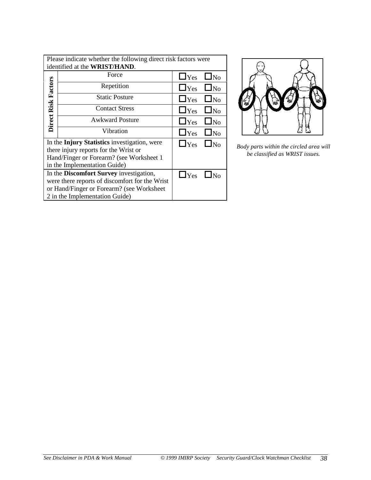|                     | Please indicate whether the following direct risk factors were<br>identified at the WRIST/HAND. |                      |                       |  |  |  |  |  |  |
|---------------------|-------------------------------------------------------------------------------------------------|----------------------|-----------------------|--|--|--|--|--|--|
|                     | Force                                                                                           | $\Box$ Yes           | $\Box$ No             |  |  |  |  |  |  |
| Direct Risk Factors | Repetition                                                                                      | $\Box$ Yes           | $\Box$ No             |  |  |  |  |  |  |
|                     | <b>Static Posture</b>                                                                           | $\Box$ Yes           | $\Box$ No             |  |  |  |  |  |  |
|                     | <b>Contact Stress</b>                                                                           | $\Box$ Yes           | $\Box$ No             |  |  |  |  |  |  |
|                     | <b>Awkward Posture</b>                                                                          | $\Box$ Yes           | $\Box$ No             |  |  |  |  |  |  |
|                     | Vibration                                                                                       | $\Box$ Yes           | $\Box$ No             |  |  |  |  |  |  |
|                     | In the Injury Statistics investigation, were<br>there injury reports for the Wrist or           | $\Box$ Yes           | $\square_{\text{No}}$ |  |  |  |  |  |  |
|                     | Hand/Finger or Forearm? (see Worksheet 1)                                                       |                      |                       |  |  |  |  |  |  |
|                     | in the Implementation Guide)                                                                    |                      |                       |  |  |  |  |  |  |
|                     | In the Discomfort Survey investigation,                                                         | $\Box$ Yes $\Box$ No |                       |  |  |  |  |  |  |
|                     | were there reports of discomfort for the Wrist                                                  |                      |                       |  |  |  |  |  |  |
|                     | or Hand/Finger or Forearm? (see Worksheet                                                       |                      |                       |  |  |  |  |  |  |
|                     | 2 in the Implementation Guide)                                                                  |                      |                       |  |  |  |  |  |  |



*Body parts within the circled area will be classified as WRIST issues.*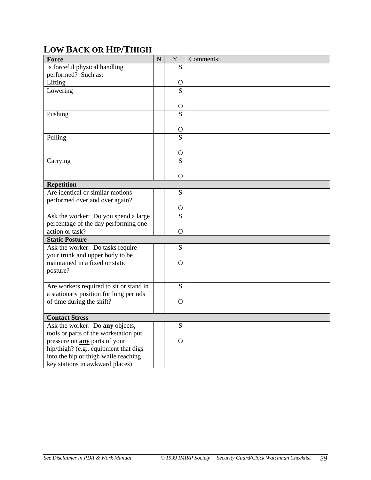### <span id="page-38-0"></span>**LOW BACK OR HIP/THIGH**

| Force                                   | $\overline{N}$ | Y |                | Comments: |
|-----------------------------------------|----------------|---|----------------|-----------|
| Is forceful physical handling           |                |   | S              |           |
| performed? Such as:                     |                |   |                |           |
| Lifting                                 |                |   | $\mathbf{O}$   |           |
| Lowering                                |                |   | S              |           |
|                                         |                |   |                |           |
|                                         |                |   | $\mathbf{O}$   |           |
| Pushing                                 |                |   | S              |           |
|                                         |                |   |                |           |
|                                         |                |   | O              |           |
| Pulling                                 |                |   | $\overline{S}$ |           |
|                                         |                |   |                |           |
|                                         |                |   | $\mathbf{O}$   |           |
| Carrying                                |                |   | $\overline{S}$ |           |
|                                         |                |   |                |           |
|                                         |                |   | O              |           |
| <b>Repetition</b>                       |                |   |                |           |
| Are identical or similar motions        |                |   | S              |           |
| performed over and over again?          |                |   |                |           |
|                                         |                |   | $\mathbf{O}$   |           |
| Ask the worker: Do you spend a large    |                |   | S              |           |
| percentage of the day performing one    |                |   |                |           |
| action or task?                         |                |   | O              |           |
| <b>Static Posture</b>                   |                |   |                |           |
| Ask the worker: Do tasks require        |                |   | S              |           |
| your trunk and upper body to be         |                |   |                |           |
| maintained in a fixed or static         |                |   | O              |           |
| posture?                                |                |   |                |           |
|                                         |                |   |                |           |
| Are workers required to sit or stand in |                |   | S              |           |
| a stationary position for long periods  |                |   |                |           |
| of time during the shift?               |                |   | O              |           |
|                                         |                |   |                |           |
| <b>Contact Stress</b>                   |                |   |                |           |
| Ask the worker: Do any objects,         |                |   | S              |           |
| tools or parts of the workstation put   |                |   |                |           |
| pressure on <b>any</b> parts of your    |                |   | O              |           |
| hip/thigh? (e.g., equipment that digs   |                |   |                |           |
| into the hip or thigh while reaching    |                |   |                |           |
| key stations in awkward places)         |                |   |                |           |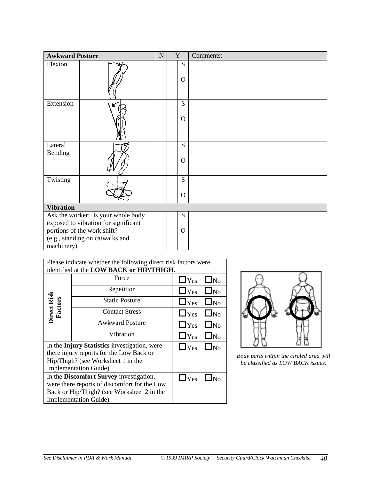| <b>Awkward Posture</b> |                                                                                                                                              | $\mathbf N$ | Y                | Comments: |
|------------------------|----------------------------------------------------------------------------------------------------------------------------------------------|-------------|------------------|-----------|
| Flexion                |                                                                                                                                              |             | S<br>$\Omega$    |           |
| Extension              |                                                                                                                                              |             | S<br>$\mathbf O$ |           |
| Lateral<br>Bending     |                                                                                                                                              |             | S<br>$\Omega$    |           |
| Twisting               |                                                                                                                                              |             | S<br>$\Omega$    |           |
| <b>Vibration</b>       |                                                                                                                                              |             |                  |           |
| machinery)             | Ask the worker: Is your whole body<br>exposed to vibration for significant<br>portions of the work shift?<br>(e.g., standing on catwalks and |             | S<br>$\Omega$    |           |

| Please indicate whether the following direct risk factors were |                                              |               |                       |  |  |  |  |  |  |  |  |
|----------------------------------------------------------------|----------------------------------------------|---------------|-----------------------|--|--|--|--|--|--|--|--|
|                                                                | identified at the LOW BACK or HIP/THIGH.     |               |                       |  |  |  |  |  |  |  |  |
|                                                                | Force                                        | $\Box$ Yes    | $\Box$ No             |  |  |  |  |  |  |  |  |
|                                                                | Repetition                                   | $\Box$ Yes    | $\square_{\text{No}}$ |  |  |  |  |  |  |  |  |
| Direct Risk<br>Factors                                         | <b>Static Posture</b>                        | $\Box$ Yes    | $\square_{\text{No}}$ |  |  |  |  |  |  |  |  |
|                                                                | <b>Contact Stress</b>                        | $\Box$ Yes    | $\Box$ No             |  |  |  |  |  |  |  |  |
|                                                                | <b>Awkward Posture</b>                       | $\Box$ Yes    | $\Box$ No             |  |  |  |  |  |  |  |  |
|                                                                | Vibration                                    | $\Box$ Yes    | $\Box$ No             |  |  |  |  |  |  |  |  |
|                                                                | In the Injury Statistics investigation, were | $\Box$ Yes    | $\Box$ No             |  |  |  |  |  |  |  |  |
|                                                                | there injury reports for the Low Back or     |               |                       |  |  |  |  |  |  |  |  |
|                                                                | Hip/Thigh? (see Worksheet 1 in the           |               |                       |  |  |  |  |  |  |  |  |
|                                                                | Implementation Guide)                        |               |                       |  |  |  |  |  |  |  |  |
|                                                                | In the Discomfort Survey investigation,      | $\square$ Yes |                       |  |  |  |  |  |  |  |  |
|                                                                | were there reports of discomfort for the Low |               |                       |  |  |  |  |  |  |  |  |
| Back or Hip/Thigh? (see Worksheet 2 in the                     |                                              |               |                       |  |  |  |  |  |  |  |  |
|                                                                | <b>Implementation Guide</b> )                |               |                       |  |  |  |  |  |  |  |  |



*Body parts within the circled area will be classified as LOW BACK issues.*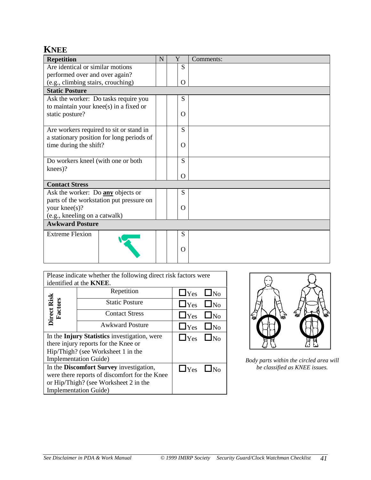#### <span id="page-40-0"></span>**KNEE**

| <b>Repetition</b>                         | N | Y        | Comments: |  |  |
|-------------------------------------------|---|----------|-----------|--|--|
| Are identical or similar motions          |   | S        |           |  |  |
| performed over and over again?            |   |          |           |  |  |
| (e.g., climbing stairs, crouching)        |   | $\Omega$ |           |  |  |
| <b>Static Posture</b>                     |   |          |           |  |  |
| Ask the worker: Do tasks require you      |   | S        |           |  |  |
| to maintain your knee(s) in a fixed or    |   |          |           |  |  |
| static posture?                           |   | $\Omega$ |           |  |  |
|                                           |   |          |           |  |  |
| Are workers required to sit or stand in   |   | S        |           |  |  |
| a stationary position for long periods of |   |          |           |  |  |
| time during the shift?                    |   | $\Omega$ |           |  |  |
|                                           |   |          |           |  |  |
| Do workers kneel (with one or both        |   | S        |           |  |  |
| knees)?                                   |   |          |           |  |  |
|                                           |   | $\Omega$ |           |  |  |
| <b>Contact Stress</b>                     |   |          |           |  |  |
| Ask the worker: Do any objects or         |   | S        |           |  |  |
| parts of the workstation put pressure on  |   |          |           |  |  |
| your knee(s)?                             |   | $\Omega$ |           |  |  |
| (e.g., kneeling on a catwalk)             |   |          |           |  |  |
| <b>Awkward Posture</b>                    |   |          |           |  |  |
| <b>Extreme Flexion</b>                    |   | S        |           |  |  |
|                                           |   |          |           |  |  |
|                                           |   | $\Omega$ |           |  |  |
|                                           |   |          |           |  |  |

| Please indicate whether the following direct risk factors were |                               |                      |           |  |  |  |  |  |
|----------------------------------------------------------------|-------------------------------|----------------------|-----------|--|--|--|--|--|
| identified at the <b>KNEE</b> .                                |                               |                      |           |  |  |  |  |  |
|                                                                | Repetition                    | $\Box$ Yes           | $\Box$ No |  |  |  |  |  |
|                                                                | <b>Static Posture</b>         | $\Box$ Yes $\Box$ No |           |  |  |  |  |  |
| Direct Risk<br>Factors<br><b>Contact Stress</b>                |                               | $\Box$ Yes           | $\Box$ No |  |  |  |  |  |
|                                                                | <b>Awkward Posture</b>        | $\Box$ Yes           | $\Box$ No |  |  |  |  |  |
| In the Injury Statistics investigation, were                   | $\Box$ Yes $\Box$ No          |                      |           |  |  |  |  |  |
| there injury reports for the Knee or                           |                               |                      |           |  |  |  |  |  |
| Hip/Thigh? (see Worksheet 1 in the                             |                               |                      |           |  |  |  |  |  |
|                                                                | <b>Implementation Guide</b> ) |                      |           |  |  |  |  |  |
| In the Discomfort Survey investigation,                        | $\Box$ Yes                    |                      |           |  |  |  |  |  |
| were there reports of discomfort for the Knee                  |                               |                      |           |  |  |  |  |  |
| or Hip/Thigh? (see Worksheet 2 in the                          |                               |                      |           |  |  |  |  |  |
|                                                                | <b>Implementation Guide</b> ) |                      |           |  |  |  |  |  |



*Body parts within the circled area will be classified as KNEE issues.*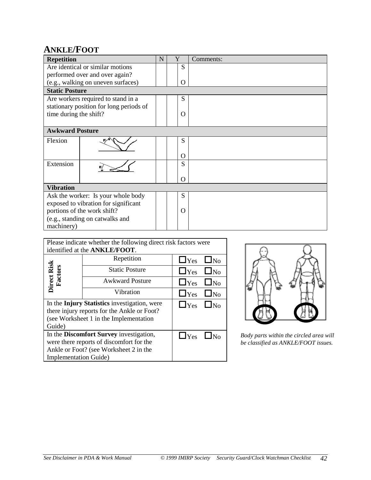#### <span id="page-41-0"></span>**ANKLE/FOOT**

| <b>Repetition</b>      |                                         | N | Y | Comments: |  |  |
|------------------------|-----------------------------------------|---|---|-----------|--|--|
|                        | Are identical or similar motions        |   | S |           |  |  |
|                        | performed over and over again?          |   |   |           |  |  |
|                        | (e.g., walking on uneven surfaces)      |   | O |           |  |  |
| <b>Static Posture</b>  |                                         |   |   |           |  |  |
|                        | Are workers required to stand in a      |   | S |           |  |  |
|                        | stationary position for long periods of |   |   |           |  |  |
| time during the shift? |                                         |   | O |           |  |  |
|                        |                                         |   |   |           |  |  |
| <b>Awkward Posture</b> |                                         |   |   |           |  |  |
| Flexion                |                                         |   | S |           |  |  |
|                        |                                         |   | O |           |  |  |
| Extension              |                                         |   | S |           |  |  |
|                        |                                         |   |   |           |  |  |
|                        |                                         |   | Ω |           |  |  |
| <b>Vibration</b>       |                                         |   |   |           |  |  |
|                        | Ask the worker: Is your whole body      |   | S |           |  |  |
|                        | exposed to vibration for significant    |   |   |           |  |  |
|                        | portions of the work shift?             |   | O |           |  |  |
|                        | (e.g., standing on catwalks and         |   |   |           |  |  |
| machinery)             |                                         |   |   |           |  |  |

| Please indicate whether the following direct risk factors were |                        |                      |           |  |  |  |  |
|----------------------------------------------------------------|------------------------|----------------------|-----------|--|--|--|--|
| identified at the ANKLE/FOOT.                                  |                        |                      |           |  |  |  |  |
|                                                                | Repetition             | $\Box$ Yes           | $\Box$ No |  |  |  |  |
| Direct Risk<br>Factors                                         | <b>Static Posture</b>  | $\Box$ Yes $\Box$ No |           |  |  |  |  |
|                                                                | <b>Awkward Posture</b> | $\Box$ Yes           | $\Box$ No |  |  |  |  |
|                                                                | Vibration              | $\Box$ Yes $\Box$ No |           |  |  |  |  |
| In the Injury Statistics investigation, were                   | $\Box$ Yes $\Box$ No   |                      |           |  |  |  |  |
| there injury reports for the Ankle or Foot?                    |                        |                      |           |  |  |  |  |
| (see Worksheet 1 in the Implementation)                        |                        |                      |           |  |  |  |  |
| Guide)                                                         |                        |                      |           |  |  |  |  |
| In the Discomfort Survey investigation,                        | $\Box$ Yes             |                      |           |  |  |  |  |
| were there reports of discomfort for the                       |                        |                      |           |  |  |  |  |
| Ankle or Foot? (see Worksheet 2 in the                         |                        |                      |           |  |  |  |  |
| <b>Implementation Guide</b> )                                  |                        |                      |           |  |  |  |  |



 $\Box$  Yes  $\Box$  No *Body parts within the circled area will be classified as ANKLE/FOOT issues.*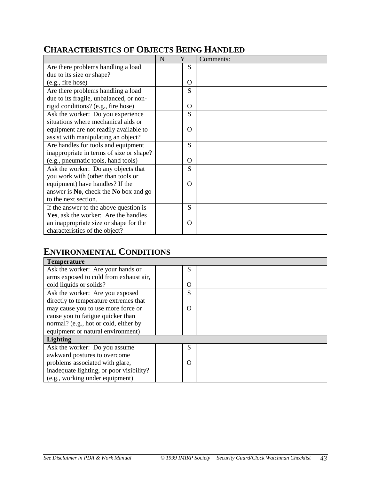#### <span id="page-42-1"></span><span id="page-42-0"></span>**CHARACTERISTICS OF OBJECTS BEING HANDLED**

|                                          | N | Y        | Comments: |
|------------------------------------------|---|----------|-----------|
| Are there problems handling a load       |   | S        |           |
| due to its size or shape?                |   |          |           |
| (e.g., fire hose)                        |   | $\Omega$ |           |
| Are there problems handling a load       |   | S        |           |
| due to its fragile, unbalanced, or non-  |   |          |           |
| rigid conditions? (e.g., fire hose)      |   | O        |           |
| Ask the worker: Do you experience        |   | S        |           |
| situations where mechanical aids or      |   |          |           |
| equipment are not readily available to   |   | O        |           |
| assist with manipulating an object?      |   |          |           |
| Are handles for tools and equipment      |   | S        |           |
| inappropriate in terms of size or shape? |   |          |           |
| (e.g., pneumatic tools, hand tools)      |   | $\Omega$ |           |
| Ask the worker: Do any objects that      |   | S        |           |
| you work with (other than tools or       |   |          |           |
| equipment) have handles? If the          |   | $\Omega$ |           |
| answer is No, check the No box and go    |   |          |           |
| to the next section.                     |   |          |           |
| If the answer to the above question is   |   | S        |           |
| Yes, ask the worker: Are the handles     |   |          |           |
| an inappropriate size or shape for the   |   | O        |           |
| characteristics of the object?           |   |          |           |

#### **ENVIRONMENTAL CONDITIONS**

| <b>Temperature</b>                       |  |          |  |
|------------------------------------------|--|----------|--|
| Ask the worker: Are your hands or        |  | S        |  |
| arms exposed to cold from exhaust air,   |  |          |  |
| cold liquids or solids?                  |  | O        |  |
| Ask the worker: Are you exposed          |  | S        |  |
| directly to temperature extremes that    |  |          |  |
| may cause you to use more force or       |  | $\Omega$ |  |
| cause you to fatigue quicker than        |  |          |  |
| normal? (e.g., hot or cold, either by    |  |          |  |
| equipment or natural environment)        |  |          |  |
| <b>Lighting</b>                          |  |          |  |
| Ask the worker: Do you assume            |  | S        |  |
| awkward postures to overcome             |  |          |  |
| problems associated with glare,          |  | $\Omega$ |  |
| inadequate lighting, or poor visibility? |  |          |  |
| (e.g., working under equipment)          |  |          |  |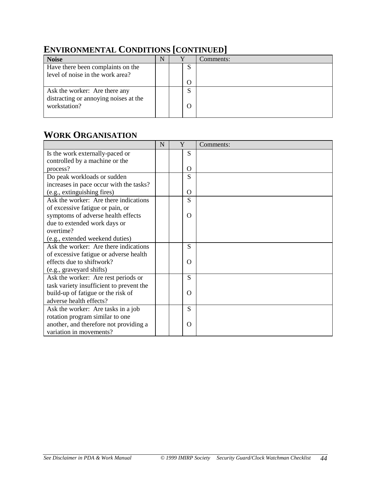| <b>Noise</b>                                          | N |  |                   | Comments: |  |  |  |  |
|-------------------------------------------------------|---|--|-------------------|-----------|--|--|--|--|
| Have there been complaints on the                     |   |  | د                 |           |  |  |  |  |
| level of noise in the work area?                      |   |  |                   |           |  |  |  |  |
|                                                       |   |  | $\Omega$          |           |  |  |  |  |
| Ask the worker: Are there any                         |   |  | $\mathbf{C}$<br>د |           |  |  |  |  |
| distracting or annoying noises at the<br>workstation? |   |  | O                 |           |  |  |  |  |

#### <span id="page-43-0"></span>**ENVIRONMENTAL CONDITIONS [CONTINUED]**

#### **WORK ORGANISATION**

|                                          | N | Y |   | Comments: |
|------------------------------------------|---|---|---|-----------|
| Is the work externally-paced or          |   |   | S |           |
| controlled by a machine or the           |   |   |   |           |
| process?                                 |   |   | O |           |
| Do peak workloads or sudden              |   |   | S |           |
| increases in pace occur with the tasks?  |   |   |   |           |
| (e.g., extinguishing fires)              |   |   | O |           |
| Ask the worker: Are there indications    |   |   | S |           |
| of excessive fatigue or pain, or         |   |   |   |           |
| symptoms of adverse health effects       |   |   | O |           |
| due to extended work days or             |   |   |   |           |
| overtime?                                |   |   |   |           |
| (e.g., extended weekend duties)          |   |   |   |           |
| Ask the worker: Are there indications    |   |   | S |           |
| of excessive fatigue or adverse health   |   |   |   |           |
| effects due to shiftwork?                |   |   | O |           |
| (e.g., graveyard shifts)                 |   |   |   |           |
| Ask the worker: Are rest periods or      |   |   | S |           |
| task variety insufficient to prevent the |   |   |   |           |
| build-up of fatigue or the risk of       |   |   | Ω |           |
| adverse health effects?                  |   |   |   |           |
| Ask the worker: Are tasks in a job       |   |   | S |           |
| rotation program similar to one          |   |   |   |           |
| another, and therefore not providing a   |   |   | O |           |
| variation in movements?                  |   |   |   |           |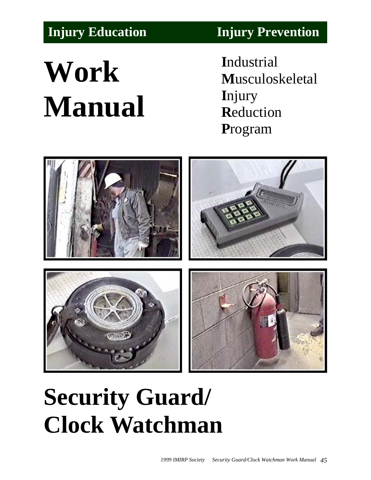# **Work Manual**

<span id="page-44-0"></span>**[Injury Education](#page-47-1) [Injury Prevention](#page-49-0)**

**I**ndustrial **M**usculoskeletal **I**njury **R**eduction **P**rogram



## **Security Guard/ Clock Watchman**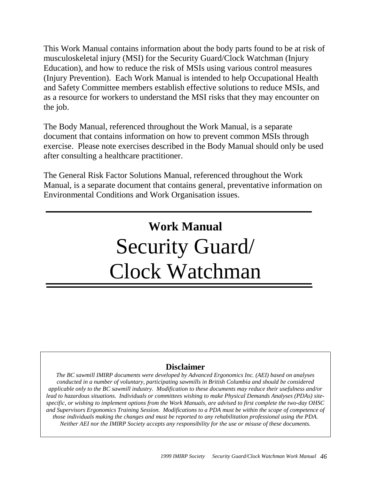This Work Manual contains information about the body parts found to be at risk of musculoskeletal injury (MSI) for the Security Guard/Clock Watchman (Injury Education), and how to reduce the risk of MSIs using various control measures (Injury Prevention). Each Work Manual is intended to help Occupational Health and Safety Committee members establish effective solutions to reduce MSIs, and as a resource for workers to understand the MSI risks that they may encounter on the job.

The Body Manual, referenced throughout the Work Manual, is a separate document that contains information on how to prevent common MSIs through exercise. Please note exercises described in the Body Manual should only be used after consulting a healthcare practitioner.

The General Risk Factor Solutions Manual, referenced throughout the Work Manual, is a separate document that contains general, preventative information on Environmental Conditions and Work Organisation issues.

## **Work Manual** Security Guard/ Clock Watchman

#### **Disclaimer**

*The BC sawmill IMIRP documents were developed by Advanced Ergonomics Inc. (AEI) based on analyses conducted in a number of voluntary, participating sawmills in British Columbia and should be considered applicable only to the BC sawmill industry. Modification to these documents may reduce their usefulness and/or lead to hazardous situations. Individuals or committees wishing to make Physical Demands Analyses (PDAs) sitespecific, or wishing to implement options from the Work Manuals, are advised to first complete the two-day OHSC and Supervisors Ergonomics Training Session. Modifications to a PDA must be within the scope of competence of those individuals making the changes and must be reported to any rehabilitation professional using the PDA. Neither AEI nor the IMIRP Society accepts any responsibility for the use or misuse of these documents.*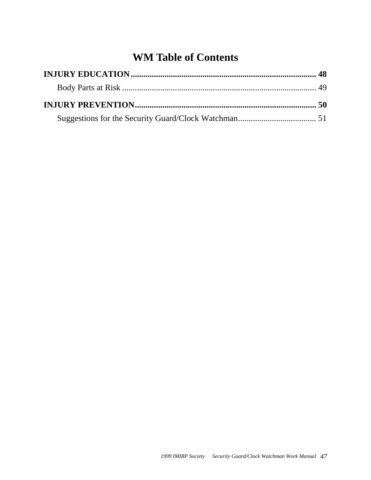### **WM Table of Contents**

<span id="page-46-0"></span>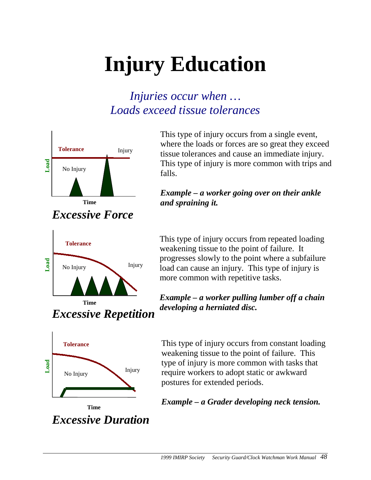## <span id="page-47-2"></span><span id="page-47-1"></span>**Injury Education**

## *Injuries occur when … Loads exceed tissue tolerances*

<span id="page-47-0"></span>

*Excessive Force*



*Excessive Repetition*

This type of injury occurs from a single event, where the loads or forces are so great they exceed tissue tolerances and cause an immediate injury. This type of injury is more common with trips and falls.

#### *Example – a worker going over on their ankle and spraining it.*

This type of injury occurs from repeated loading weakening tissue to the point of failure. It progresses slowly to the point where a subfailure load can cause an injury. This type of injury is more common with repetitive tasks.

*Example – a worker pulling lumber off a chain developing a herniated disc.*



*Excessive Duration* **Time**

This type of injury occurs from constant loading weakening tissue to the point of failure. This type of injury is more common with tasks that require workers to adopt static or awkward postures for extended periods.

#### *Example – a Grader developing neck tension.*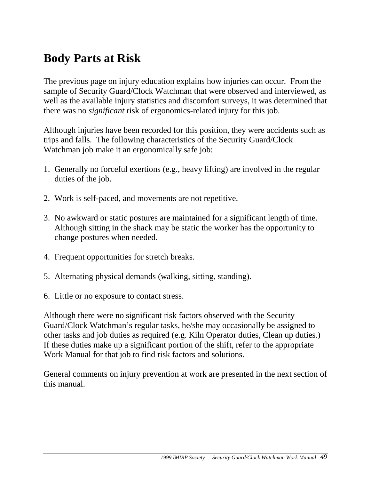## <span id="page-48-1"></span><span id="page-48-0"></span>**Body Parts at Risk**

The previous page on injury education explains how injuries can occur. From the sample of Security Guard/Clock Watchman that were observed and interviewed, as well as the available injury statistics and discomfort surveys, it was determined that there was no *significant* risk of ergonomics-related injury for this job.

Although injuries have been recorded for this position, they were accidents such as trips and falls. The following characteristics of the Security Guard/Clock Watchman job make it an ergonomically safe job:

- 1. Generally no forceful exertions (e.g., heavy lifting) are involved in the regular duties of the job.
- 2. Work is self-paced, and movements are not repetitive.
- 3. No awkward or static postures are maintained for a significant length of time. Although sitting in the shack may be static the worker has the opportunity to change postures when needed.
- 4. Frequent opportunities for stretch breaks.
- 5. Alternating physical demands (walking, sitting, standing).
- 6. Little or no exposure to contact stress.

Although there were no significant risk factors observed with the Security Guard/Clock Watchman's regular tasks, he/she may occasionally be assigned to other tasks and job duties as required (e.g. Kiln Operator duties, Clean up duties.) If these duties make up a significant portion of the shift, refer to the appropriate Work Manual for that job to find risk factors and solutions.

General comments on injury prevention at work are presented in the next section of this manual.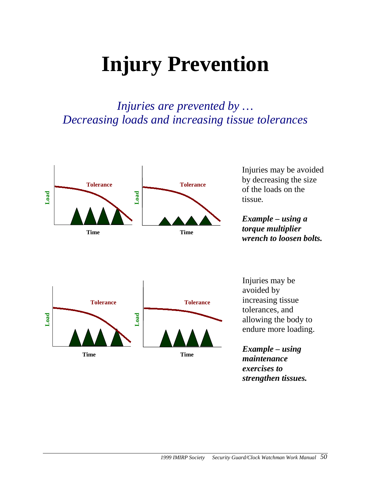## <span id="page-49-1"></span><span id="page-49-0"></span>**Injury Prevention**

### *Injuries are prevented by … Decreasing loads and increasing tissue tolerances*



Injuries may be avoided by decreasing the size of the loads on the tissue*.*

*Example – using a torque multiplier wrench to loosen bolts.*



Injuries may be avoided by increasing tissue tolerances, and allowing the body to endure more loading.

*Example – using maintenance exercises to strengthen tissues.*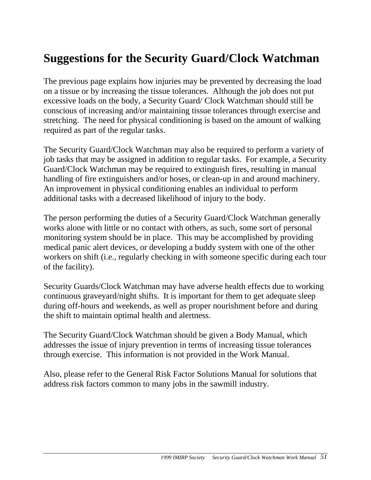## <span id="page-50-1"></span><span id="page-50-0"></span>**Suggestions for the Security Guard/Clock Watchman**

The previous page explains how injuries may be prevented by decreasing the load on a tissue or by increasing the tissue tolerances. Although the job does not put excessive loads on the body, a Security Guard/ Clock Watchman should still be conscious of increasing and/or maintaining tissue tolerances through exercise and stretching. The need for physical conditioning is based on the amount of walking required as part of the regular tasks.

The Security Guard/Clock Watchman may also be required to perform a variety of job tasks that may be assigned in addition to regular tasks. For example, a Security Guard/Clock Watchman may be required to extinguish fires, resulting in manual handling of fire extinguishers and/or hoses, or clean-up in and around machinery. An improvement in physical conditioning enables an individual to perform additional tasks with a decreased likelihood of injury to the body.

The person performing the duties of a Security Guard/Clock Watchman generally works alone with little or no contact with others, as such, some sort of personal monitoring system should be in place. This may be accomplished by providing medical panic alert devices, or developing a buddy system with one of the other workers on shift (i.e., regularly checking in with someone specific during each tour of the facility).

Security Guards/Clock Watchman may have adverse health effects due to working continuous graveyard/night shifts. It is important for them to get adequate sleep during off-hours and weekends, as well as proper nourishment before and during the shift to maintain optimal health and alertness.

The Security Guard/Clock Watchman should be given a Body Manual, which addresses the issue of injury prevention in terms of increasing tissue tolerances through exercise. This information is not provided in the Work Manual.

Also, please refer to the General Risk Factor Solutions Manual for solutions that address risk factors common to many jobs in the sawmill industry.